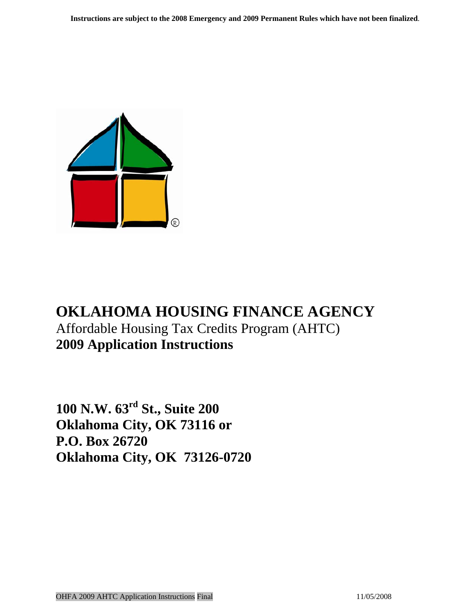

# **OKLAHOMA HOUSING FINANCE AGENCY**  Affordable Housing Tax Credits Program (AHTC) **2009 Application Instructions**

**100 N.W. 63rd St., Suite 200 Oklahoma City, OK 73116 or P.O. Box 26720 Oklahoma City, OK 73126-0720**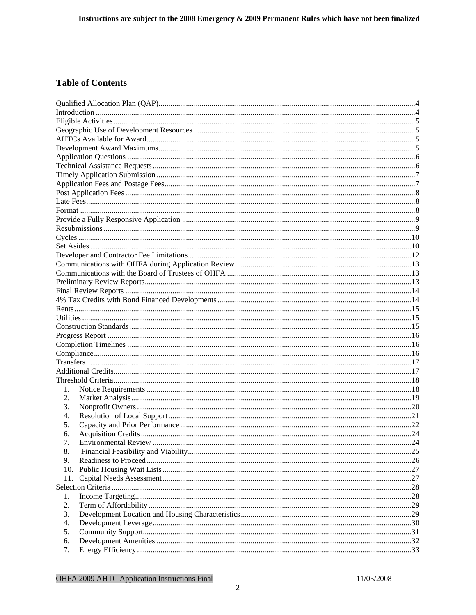#### **Table of Contents**

| 1.  |     |
|-----|-----|
| 2.  |     |
| 3.  |     |
| 4.  |     |
| 5.  |     |
| 6.  |     |
| 7.  |     |
| 8.  |     |
| 9.  |     |
| 10. |     |
| 11. | .27 |
|     |     |
| 1.  |     |
| 2.  |     |
| 3.  |     |
| 4.  |     |
| 5.  |     |
| 6.  |     |
| 7.  |     |
|     |     |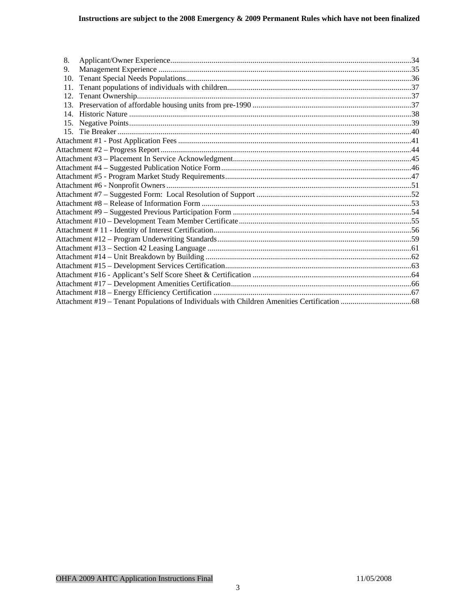| 8.  |  |
|-----|--|
| 9.  |  |
| 10. |  |
| 11. |  |
|     |  |
|     |  |
|     |  |
|     |  |
|     |  |
|     |  |
|     |  |
|     |  |
|     |  |
|     |  |
|     |  |
|     |  |
|     |  |
|     |  |
|     |  |
|     |  |
|     |  |
|     |  |
|     |  |
|     |  |
|     |  |
|     |  |
|     |  |
|     |  |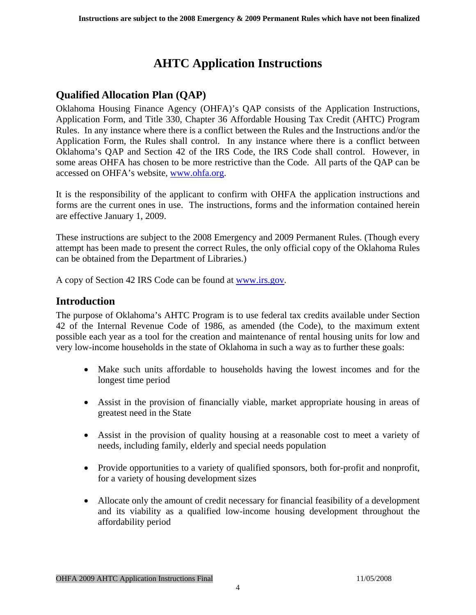## **AHTC Application Instructions**

## <span id="page-3-0"></span>**Qualified Allocation Plan (QAP)**

Oklahoma Housing Finance Agency (OHFA)'s QAP consists of the Application Instructions, Application Form, and Title 330, Chapter 36 Affordable Housing Tax Credit (AHTC) Program Rules. In any instance where there is a conflict between the Rules and the Instructions and/or the Application Form, the Rules shall control. In any instance where there is a conflict between Oklahoma's QAP and Section 42 of the IRS Code, the IRS Code shall control. However, in some areas OHFA has chosen to be more restrictive than the Code. All parts of the QAP can be accessed on OHFA's website, [www.ohfa.org](http://www.ohfa.org/).

It is the responsibility of the applicant to confirm with OHFA the application instructions and forms are the current ones in use. The instructions, forms and the information contained herein are effective January 1, 2009.

These instructions are subject to the 2008 Emergency and 2009 Permanent Rules. (Though every attempt has been made to present the correct Rules, the only official copy of the Oklahoma Rules can be obtained from the Department of Libraries.)

A copy of Section 42 IRS Code can be found at [www.irs.gov.](http://www.irs.gov/)

### **Introduction**

The purpose of Oklahoma's AHTC Program is to use federal tax credits available under Section 42 of the Internal Revenue Code of 1986, as amended (the Code), to the maximum extent possible each year as a tool for the creation and maintenance of rental housing units for low and very low-income households in the state of Oklahoma in such a way as to further these goals:

- Make such units affordable to households having the lowest incomes and for the longest time period
- Assist in the provision of financially viable, market appropriate housing in areas of greatest need in the State
- Assist in the provision of quality housing at a reasonable cost to meet a variety of needs, including family, elderly and special needs population
- Provide opportunities to a variety of qualified sponsors, both for-profit and nonprofit, for a variety of housing development sizes
- Allocate only the amount of credit necessary for financial feasibility of a development and its viability as a qualified low-income housing development throughout the affordability period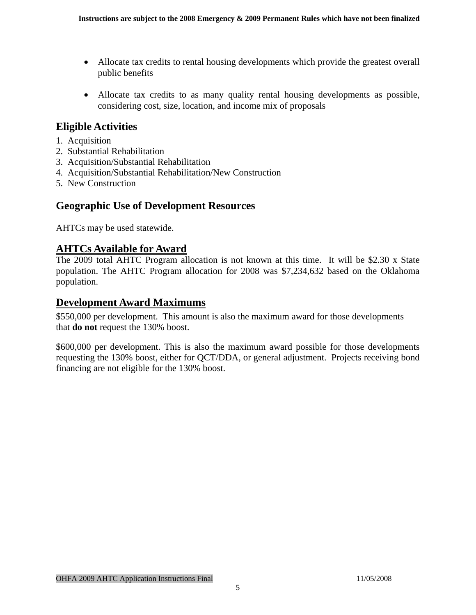- <span id="page-4-0"></span>• Allocate tax credits to rental housing developments which provide the greatest overall public benefits
- Allocate tax credits to as many quality rental housing developments as possible, considering cost, size, location, and income mix of proposals

### **Eligible Activities**

- 1. Acquisition
- 2. Substantial Rehabilitation
- 3. Acquisition/Substantial Rehabilitation
- 4. Acquisition/Substantial Rehabilitation/New Construction
- 5. New Construction

## **Geographic Use of Development Resources**

AHTCs may be used statewide.

### **AHTCs Available for Award**

The 2009 total AHTC Program allocation is not known at this time. It will be \$2.30 x State population. The AHTC Program allocation for 2008 was \$7,234,632 based on the Oklahoma population.

## **Development Award Maximums**

\$550,000 per development. This amount is also the maximum award for those developments that **do not** request the 130% boost.

\$600,000 per development. This is also the maximum award possible for those developments requesting the 130% boost, either for QCT/DDA, or general adjustment. Projects receiving bond financing are not eligible for the 130% boost.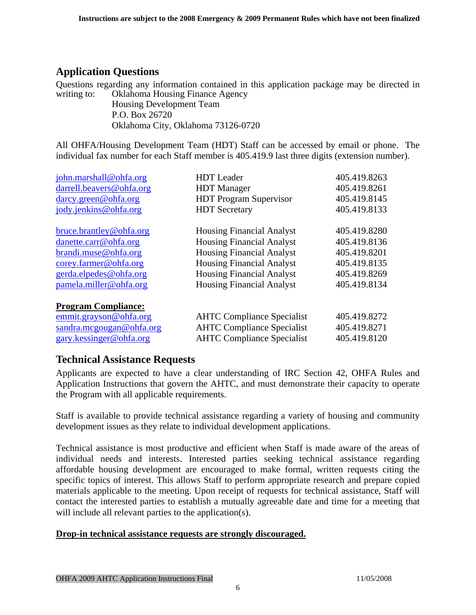## <span id="page-5-0"></span>**Application Questions**

Questions regarding any information contained in this application package may be directed in writing to: Oklahoma Housing Finance Agency Housing Development Team

 P.O. Box 26720 Oklahoma City, Oklahoma 73126-0720

All OHFA/Housing Development Team (HDT) Staff can be accessed by email or phone. The individual fax number for each Staff member is 405.419.9 last three digits (extension number).

| john.marshall@ohfa.org                                                                                      | <b>HDT</b> Leader                                                                                           | 405.419.8263                                 |
|-------------------------------------------------------------------------------------------------------------|-------------------------------------------------------------------------------------------------------------|----------------------------------------------|
| darrell.beavers@ohfa.org                                                                                    | <b>HDT</b> Manager                                                                                          | 405.419.8261                                 |
| darcy.green@ohfa.org                                                                                        | <b>HDT</b> Program Supervisor                                                                               | 405.419.8145                                 |
| jody.jenkins@ohfa.org                                                                                       | <b>HDT</b> Secretary                                                                                        | 405.419.8133                                 |
| bruce.brantley@ohfa.org                                                                                     | <b>Housing Financial Analyst</b>                                                                            | 405.419.8280                                 |
| danette.carr@ohfa.org                                                                                       | <b>Housing Financial Analyst</b>                                                                            | 405.419.8136                                 |
| brandi.muse@ohfa.org                                                                                        | <b>Housing Financial Analyst</b>                                                                            | 405.419.8201                                 |
| corey.farmer@ohfa.org                                                                                       | <b>Housing Financial Analyst</b>                                                                            | 405.419.8135                                 |
| gerda.elpedes@ohfa.org                                                                                      | <b>Housing Financial Analyst</b>                                                                            | 405.419.8269                                 |
| pamela.miller@ohfa.org                                                                                      | <b>Housing Financial Analyst</b>                                                                            | 405.419.8134                                 |
| <b>Program Compliance:</b><br>emmit.grayson@ohfa.org<br>sandra.mcgougan@ohfa.org<br>gary.kessinger@ohfa.org | <b>AHTC Compliance Specialist</b><br><b>AHTC Compliance Specialist</b><br><b>AHTC Compliance Specialist</b> | 405.419.8272<br>405.419.8271<br>405.419.8120 |

## **Technical Assistance Requests**

Applicants are expected to have a clear understanding of IRC Section 42, OHFA Rules and Application Instructions that govern the AHTC, and must demonstrate their capacity to operate the Program with all applicable requirements.

Staff is available to provide technical assistance regarding a variety of housing and community development issues as they relate to individual development applications.

Technical assistance is most productive and efficient when Staff is made aware of the areas of individual needs and interests. Interested parties seeking technical assistance regarding affordable housing development are encouraged to make formal, written requests citing the specific topics of interest. This allows Staff to perform appropriate research and prepare copied materials applicable to the meeting. Upon receipt of requests for technical assistance, Staff will contact the interested parties to establish a mutually agreeable date and time for a meeting that will include all relevant parties to the application(s).

#### **Drop-in technical assistance requests are strongly discouraged.**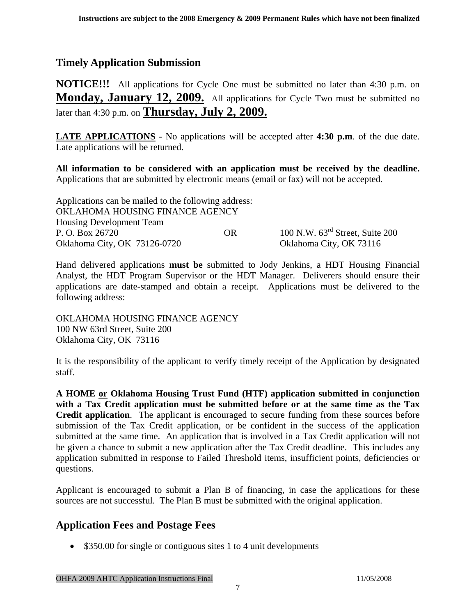## <span id="page-6-0"></span>**Timely Application Submission**

**NOTICE!!!** All applications for Cycle One must be submitted no later than 4:30 p.m. on **Monday, January 12, 2009.** All applications for Cycle Two must be submitted no later than 4:30 p.m. on **Thursday, July 2, 2009.**

**LATE APPLICATIONS** - No applications will be accepted after **4:30 p.m**. of the due date. Late applications will be returned.

**All information to be considered with an application must be received by the deadline.**  Applications that are submitted by electronic means (email or fax) will not be accepted.

| Applications can be mailed to the following address: |     |                                             |  |
|------------------------------------------------------|-----|---------------------------------------------|--|
| OKLAHOMA HOUSING FINANCE AGENCY                      |     |                                             |  |
| <b>Housing Development Team</b>                      |     |                                             |  |
| P. O. Box 26720                                      | OR. | 100 N.W. $63^{\text{rd}}$ Street, Suite 200 |  |
| Oklahoma City, OK 73126-0720                         |     | Oklahoma City, OK 73116                     |  |

Hand delivered applications **must be** submitted to Jody Jenkins, a HDT Housing Financial Analyst, the HDT Program Supervisor or the HDT Manager. Deliverers should ensure their applications are date-stamped and obtain a receipt. Applications must be delivered to the following address:

OKLAHOMA HOUSING FINANCE AGENCY 100 NW 63rd Street, Suite 200 Oklahoma City, OK 73116

It is the responsibility of the applicant to verify timely receipt of the Application by designated staff.

**A HOME or Oklahoma Housing Trust Fund (HTF) application submitted in conjunction with a Tax Credit application must be submitted before or at the same time as the Tax Credit application**. The applicant is encouraged to secure funding from these sources before submission of the Tax Credit application, or be confident in the success of the application submitted at the same time. An application that is involved in a Tax Credit application will not be given a chance to submit a new application after the Tax Credit deadline. This includes any application submitted in response to Failed Threshold items, insufficient points, deficiencies or questions.

Applicant is encouraged to submit a Plan B of financing, in case the applications for these sources are not successful. The Plan B must be submitted with the original application.

## **Application Fees and Postage Fees**

• \$350.00 for single or contiguous sites 1 to 4 unit developments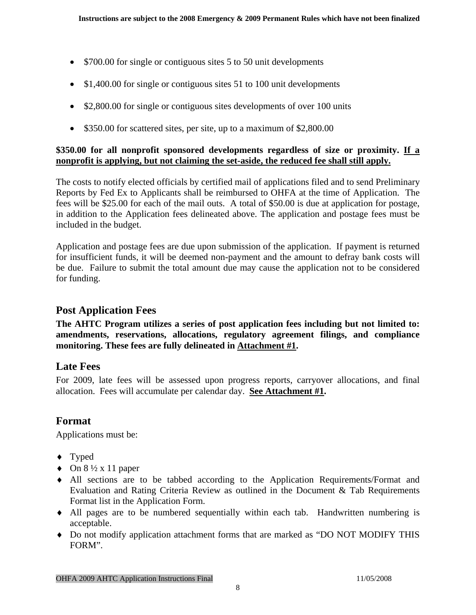- <span id="page-7-0"></span>• \$700.00 for single or contiguous sites 5 to 50 unit developments
- \$1,400.00 for single or contiguous sites 51 to 100 unit developments
- \$2,800.00 for single or contiguous sites developments of over 100 units
- \$350.00 for scattered sites, per site, up to a maximum of \$2,800.00

#### **\$350.00 for all nonprofit sponsored developments regardless of size or proximity. If a nonprofit is applying, but not claiming the set-aside, the reduced fee shall still apply.**

The costs to notify elected officials by certified mail of applications filed and to send Preliminary Reports by Fed Ex to Applicants shall be reimbursed to OHFA at the time of Application. The fees will be \$25.00 for each of the mail outs. A total of \$50.00 is due at application for postage, in addition to the Application fees delineated above. The application and postage fees must be included in the budget.

Application and postage fees are due upon submission of the application. If payment is returned for insufficient funds, it will be deemed non-payment and the amount to defray bank costs will be due. Failure to submit the total amount due may cause the application not to be considered for funding.

### **Post Application Fees**

**The AHTC Program utilizes a series of post application fees including but not limited to: amendments, reservations, allocations, regulatory agreement filings, and compliance monitoring. These fees are fully delineated in Attachment #1.** 

## **Late Fees**

For 2009, late fees will be assessed upon progress reports, carryover allocations, and final allocation. Fees will accumulate per calendar day. **See Attachment #1.**

## **Format**

Applications must be:

- ♦ Typed
- $\leftrightarrow$  On  $8\frac{1}{2}$  x 11 paper
- ♦ All sections are to be tabbed according to the Application Requirements/Format and Evaluation and Rating Criteria Review as outlined in the Document & Tab Requirements Format list in the Application Form.
- ♦ All pages are to be numbered sequentially within each tab. Handwritten numbering is acceptable.
- ♦ Do not modify application attachment forms that are marked as "DO NOT MODIFY THIS FORM".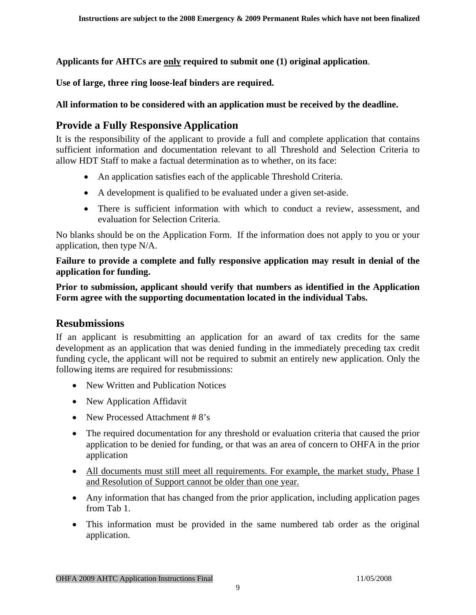<span id="page-8-0"></span>**Applicants for AHTCs are only required to submit one (1) original application**.

**Use of large, three ring loose-leaf binders are required.** 

#### **All information to be considered with an application must be received by the deadline.**

## **Provide a Fully Responsive Application**

It is the responsibility of the applicant to provide a full and complete application that contains sufficient information and documentation relevant to all Threshold and Selection Criteria to allow HDT Staff to make a factual determination as to whether, on its face:

- An application satisfies each of the applicable Threshold Criteria.
- A development is qualified to be evaluated under a given set-aside.
- There is sufficient information with which to conduct a review, assessment, and evaluation for Selection Criteria.

No blanks should be on the Application Form. If the information does not apply to you or your application, then type N/A.

**Failure to provide a complete and fully responsive application may result in denial of the application for funding.** 

**Prior to submission, applicant should verify that numbers as identified in the Application Form agree with the supporting documentation located in the individual Tabs.** 

## **Resubmissions**

If an applicant is resubmitting an application for an award of tax credits for the same development as an application that was denied funding in the immediately preceding tax credit funding cycle, the applicant will not be required to submit an entirely new application. Only the following items are required for resubmissions:

- New Written and Publication Notices
- New Application Affidavit
- New Processed Attachment #8's
- The required documentation for any threshold or evaluation criteria that caused the prior application to be denied for funding, or that was an area of concern to OHFA in the prior application
- All documents must still meet all requirements. For example, the market study, Phase I and Resolution of Support cannot be older than one year.
- Any information that has changed from the prior application, including application pages from Tab 1.
- This information must be provided in the same numbered tab order as the original application.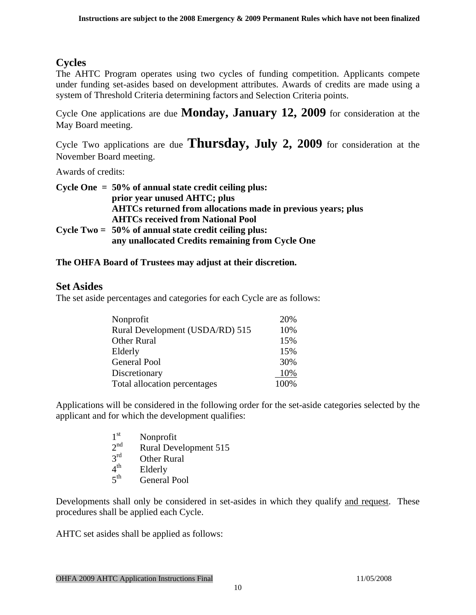## <span id="page-9-0"></span>**Cycles**

The AHTC Program operates using two cycles of funding competition. Applicants compete under funding set-asides based on development attributes. Awards of credits are made using a system of Threshold Criteria determining factors and Selection Criteria points.

Cycle One applications are due **Monday, January 12, 2009** for consideration at the May Board meeting.

Cycle Two applications are due **Thursday, July 2, 2009** for consideration at the November Board meeting.

Awards of credits:

| Cycle One $= 50\%$ of annual state credit ceiling plus:             |  |  |
|---------------------------------------------------------------------|--|--|
| prior year unused AHTC; plus                                        |  |  |
| <b>AHTCs returned from allocations made in previous years; plus</b> |  |  |
| <b>AHTCs received from National Pool</b>                            |  |  |
| Cycle Two $= 50\%$ of annual state credit ceiling plus:             |  |  |
| any unallocated Credits remaining from Cycle One                    |  |  |

#### **The OHFA Board of Trustees may adjust at their discretion.**

### **Set Asides**

The set aside percentages and categories for each Cycle are as follows:

| Nonprofit                       | 20%  |
|---------------------------------|------|
| Rural Development (USDA/RD) 515 | 10%  |
| <b>Other Rural</b>              | 15%  |
| Elderly                         | 15%  |
| General Pool                    | 30%  |
| Discretionary                   | 10%  |
| Total allocation percentages    | 100% |

Applications will be considered in the following order for the set-aside categories selected by the applicant and for which the development qualifies:

| 1 <sup>st</sup>         | Nonprofit                    |
|-------------------------|------------------------------|
| $2^{nd}$                | <b>Rural Development 515</b> |
| $2^{rd}$                | <b>Other Rural</b>           |
| $\varDelta^{\text{th}}$ | Elderly                      |
| $5$ <sup>th</sup>       | <b>General Pool</b>          |

Developments shall only be considered in set-asides in which they qualify and request. These procedures shall be applied each Cycle.

AHTC set asides shall be applied as follows: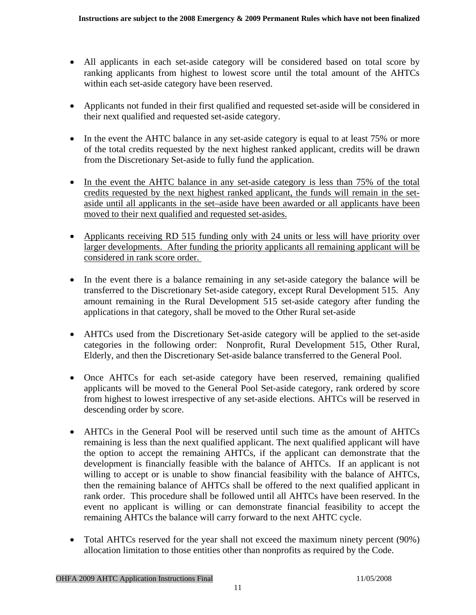- All applicants in each set-aside category will be considered based on total score by ranking applicants from highest to lowest score until the total amount of the AHTCs within each set-aside category have been reserved.
- Applicants not funded in their first qualified and requested set-aside will be considered in their next qualified and requested set-aside category.
- In the event the AHTC balance in any set-aside category is equal to at least 75% or more of the total credits requested by the next highest ranked applicant, credits will be drawn from the Discretionary Set-aside to fully fund the application.
- In the event the AHTC balance in any set-aside category is less than 75% of the total credits requested by the next highest ranked applicant, the funds will remain in the setaside until all applicants in the set–aside have been awarded or all applicants have been moved to their next qualified and requested set-asides.
- Applicants receiving RD 515 funding only with 24 units or less will have priority over larger developments. After funding the priority applicants all remaining applicant will be considered in rank score order.
- In the event there is a balance remaining in any set-aside category the balance will be transferred to the Discretionary Set-aside category, except Rural Development 515. Any amount remaining in the Rural Development 515 set-aside category after funding the applications in that category, shall be moved to the Other Rural set-aside
- AHTCs used from the Discretionary Set-aside category will be applied to the set-aside categories in the following order: Nonprofit, Rural Development 515, Other Rural, Elderly, and then the Discretionary Set-aside balance transferred to the General Pool.
- Once AHTCs for each set-aside category have been reserved, remaining qualified applicants will be moved to the General Pool Set-aside category, rank ordered by score from highest to lowest irrespective of any set-aside elections. AHTCs will be reserved in descending order by score.
- AHTCs in the General Pool will be reserved until such time as the amount of AHTCs remaining is less than the next qualified applicant. The next qualified applicant will have the option to accept the remaining AHTCs, if the applicant can demonstrate that the development is financially feasible with the balance of AHTCs. If an applicant is not willing to accept or is unable to show financial feasibility with the balance of AHTCs, then the remaining balance of AHTCs shall be offered to the next qualified applicant in rank order. This procedure shall be followed until all AHTCs have been reserved. In the event no applicant is willing or can demonstrate financial feasibility to accept the remaining AHTCs the balance will carry forward to the next AHTC cycle.
- Total AHTCs reserved for the year shall not exceed the maximum ninety percent (90%) allocation limitation to those entities other than nonprofits as required by the Code.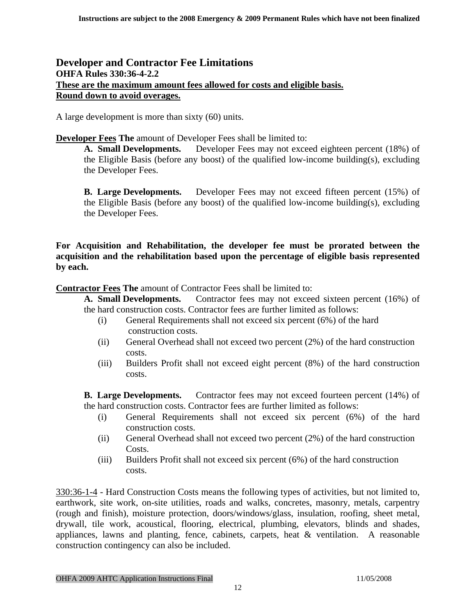#### <span id="page-11-0"></span>**Developer and Contractor Fee Limitations OHFA Rules 330:36-4-2.2 These are the maximum amount fees allowed for costs and eligible basis. Round down to avoid overages.**

A large development is more than sixty (60) units.

**Developer Fees The** amount of Developer Fees shall be limited to:

**A. Small Developments.** Developer Fees may not exceed eighteen percent (18%) of the Eligible Basis (before any boost) of the qualified low-income building(s), excluding the Developer Fees.

**B. Large Developments.** Developer Fees may not exceed fifteen percent (15%) of the Eligible Basis (before any boost) of the qualified low-income building(s), excluding the Developer Fees.

**For Acquisition and Rehabilitation, the developer fee must be prorated between the acquisition and the rehabilitation based upon the percentage of eligible basis represented by each.** 

**Contractor Fees The** amount of Contractor Fees shall be limited to:

**A. Small Developments.** Contractor fees may not exceed sixteen percent (16%) of the hard construction costs. Contractor fees are further limited as follows:

- (i) General Requirements shall not exceed six percent (6%) of the hard construction costs.
- (ii) General Overhead shall not exceed two percent (2%) of the hard construction costs.
- (iii) Builders Profit shall not exceed eight percent (8%) of the hard construction costs.

**B. Large Developments.** Contractor fees may not exceed fourteen percent (14%) of the hard construction costs. Contractor fees are further limited as follows:

- (i) General Requirements shall not exceed six percent (6%) of the hard construction costs.
- (ii) General Overhead shall not exceed two percent (2%) of the hard construction Costs.
- (iii) Builders Profit shall not exceed six percent (6%) of the hard construction costs.

330:36-1-4 - Hard Construction Costs means the following types of activities, but not limited to, earthwork, site work, on-site utilities, roads and walks, concretes, masonry, metals, carpentry (rough and finish), moisture protection, doors/windows/glass, insulation, roofing, sheet metal, drywall, tile work, acoustical, flooring, electrical, plumbing, elevators, blinds and shades, appliances, lawns and planting, fence, cabinets, carpets, heat & ventilation. A reasonable construction contingency can also be included.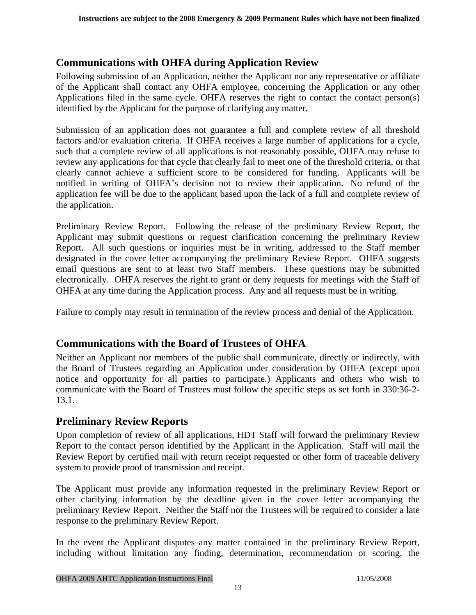## <span id="page-12-0"></span>**Communications with OHFA during Application Review**

Following submission of an Application, neither the Applicant nor any representative or affiliate of the Applicant shall contact any OHFA employee, concerning the Application or any other Applications filed in the same cycle. OHFA reserves the right to contact the contact person(s) identified by the Applicant for the purpose of clarifying any matter.

Submission of an application does not guarantee a full and complete review of all threshold factors and/or evaluation criteria. If OHFA receives a large number of applications for a cycle, such that a complete review of all applications is not reasonably possible, OHFA may refuse to review any applications for that cycle that clearly fail to meet one of the threshold criteria, or that clearly cannot achieve a sufficient score to be considered for funding. Applicants will be notified in writing of OHFA's decision not to review their application. No refund of the application fee will be due to the applicant based upon the lack of a full and complete review of the application.

Preliminary Review Report. Following the release of the preliminary Review Report, the Applicant may submit questions or request clarification concerning the preliminary Review Report. All such questions or inquiries must be in writing, addressed to the Staff member designated in the cover letter accompanying the preliminary Review Report. OHFA suggests email questions are sent to at least two Staff members. These questions may be submitted electronically. OHFA reserves the right to grant or deny requests for meetings with the Staff of OHFA at any time during the Application process. Any and all requests must be in writing.

Failure to comply may result in termination of the review process and denial of the Application.

## **Communications with the Board of Trustees of OHFA**

Neither an Applicant nor members of the public shall communicate, directly or indirectly, with the Board of Trustees regarding an Application under consideration by OHFA (except upon notice and opportunity for all parties to participate.) Applicants and others who wish to communicate with the Board of Trustees must follow the specific steps as set forth in 330:36-2- 13.1.

## **Preliminary Review Reports**

Upon completion of review of all applications, HDT Staff will forward the preliminary Review Report to the contact person identified by the Applicant in the Application. Staff will mail the Review Report by certified mail with return receipt requested or other form of traceable delivery system to provide proof of transmission and receipt.

The Applicant must provide any information requested in the preliminary Review Report or other clarifying information by the deadline given in the cover letter accompanying the preliminary Review Report. Neither the Staff nor the Trustees will be required to consider a late response to the preliminary Review Report.

In the event the Applicant disputes any matter contained in the preliminary Review Report, including without limitation any finding, determination, recommendation or scoring, the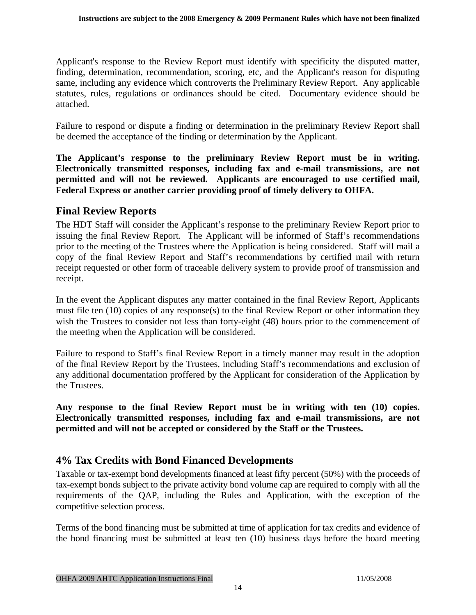<span id="page-13-0"></span>Applicant's response to the Review Report must identify with specificity the disputed matter, finding, determination, recommendation, scoring, etc, and the Applicant's reason for disputing same, including any evidence which controverts the Preliminary Review Report. Any applicable statutes, rules, regulations or ordinances should be cited. Documentary evidence should be attached.

Failure to respond or dispute a finding or determination in the preliminary Review Report shall be deemed the acceptance of the finding or determination by the Applicant.

**The Applicant's response to the preliminary Review Report must be in writing. Electronically transmitted responses, including fax and e-mail transmissions, are not permitted and will not be reviewed. Applicants are encouraged to use certified mail, Federal Express or another carrier providing proof of timely delivery to OHFA.** 

#### **Final Review Reports**

The HDT Staff will consider the Applicant's response to the preliminary Review Report prior to issuing the final Review Report. The Applicant will be informed of Staff's recommendations prior to the meeting of the Trustees where the Application is being considered. Staff will mail a copy of the final Review Report and Staff's recommendations by certified mail with return receipt requested or other form of traceable delivery system to provide proof of transmission and receipt.

In the event the Applicant disputes any matter contained in the final Review Report, Applicants must file ten (10) copies of any response(s) to the final Review Report or other information they wish the Trustees to consider not less than forty-eight (48) hours prior to the commencement of the meeting when the Application will be considered.

Failure to respond to Staff's final Review Report in a timely manner may result in the adoption of the final Review Report by the Trustees, including Staff's recommendations and exclusion of any additional documentation proffered by the Applicant for consideration of the Application by the Trustees.

**Any response to the final Review Report must be in writing with ten (10) copies. Electronically transmitted responses, including fax and e-mail transmissions, are not permitted and will not be accepted or considered by the Staff or the Trustees.** 

## **4% Tax Credits with Bond Financed Developments**

Taxable or tax-exempt bond developments financed at least fifty percent (50%) with the proceeds of tax-exempt bonds subject to the private activity bond volume cap are required to comply with all the requirements of the QAP, including the Rules and Application, with the exception of the competitive selection process.

Terms of the bond financing must be submitted at time of application for tax credits and evidence of the bond financing must be submitted at least ten (10) business days before the board meeting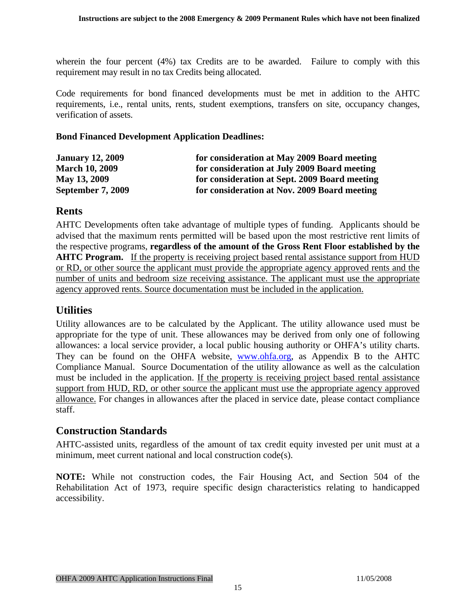<span id="page-14-0"></span>wherein the four percent (4%) tax Credits are to be awarded. Failure to comply with this requirement may result in no tax Credits being allocated.

Code requirements for bond financed developments must be met in addition to the AHTC requirements, i.e., rental units, rents, student exemptions, transfers on site, occupancy changes, verification of assets.

#### **Bond Financed Development Application Deadlines:**

| <b>January 12, 2009</b> | for consideration at May 2009 Board meeting   |
|-------------------------|-----------------------------------------------|
| <b>March 10, 2009</b>   | for consideration at July 2009 Board meeting  |
| May 13, 2009            | for consideration at Sept. 2009 Board meeting |
| September 7, 2009       | for consideration at Nov. 2009 Board meeting  |

#### **Rents**

AHTC Developments often take advantage of multiple types of funding. Applicants should be advised that the maximum rents permitted will be based upon the most restrictive rent limits of the respective programs, **regardless of the amount of the Gross Rent Floor established by the AHTC Program.** If the property is receiving project based rental assistance support from HUD or RD, or other source the applicant must provide the appropriate agency approved rents and the number of units and bedroom size receiving assistance. The applicant must use the appropriate agency approved rents. Source documentation must be included in the application.

#### **Utilities**

Utility allowances are to be calculated by the Applicant. The utility allowance used must be appropriate for the type of unit. These allowances may be derived from only one of following allowances: a local service provider, a local public housing authority or OHFA's utility charts. They can be found on the OHFA website, [www.ohfa.org,](http://www.ohfa.org/) as Appendix B to the AHTC Compliance Manual. Source Documentation of the utility allowance as well as the calculation must be included in the application. If the property is receiving project based rental assistance support from HUD, RD, or other source the applicant must use the appropriate agency approved allowance. For changes in allowances after the placed in service date, please contact compliance staff.

#### **Construction Standards**

AHTC-assisted units, regardless of the amount of tax credit equity invested per unit must at a minimum, meet current national and local construction code(s).

**NOTE:** While not construction codes, the Fair Housing Act, and Section 504 of the Rehabilitation Act of 1973, require specific design characteristics relating to handicapped accessibility.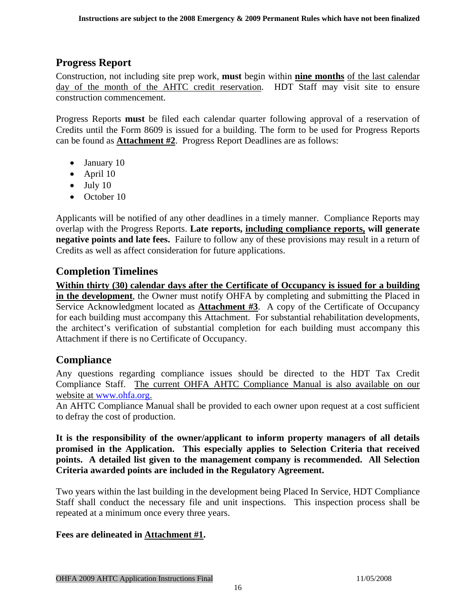## <span id="page-15-0"></span>**Progress Report**

Construction, not including site prep work, **must** begin within **nine months** of the last calendar day of the month of the AHTC credit reservation. HDT Staff may visit site to ensure construction commencement.

Progress Reports **must** be filed each calendar quarter following approval of a reservation of Credits until the Form 8609 is issued for a building. The form to be used for Progress Reports can be found as **Attachment #2**. Progress Report Deadlines are as follows:

- January 10
- April 10
- $\bullet$  July 10
- October 10

Applicants will be notified of any other deadlines in a timely manner. Compliance Reports may overlap with the Progress Reports. **Late reports, including compliance reports, will generate negative points and late fees.** Failure to follow any of these provisions may result in a return of Credits as well as affect consideration for future applications.

## **Completion Timelines**

**Within thirty (30) calendar days after the Certificate of Occupancy is issued for a building in the development**, the Owner must notify OHFA by completing and submitting the Placed in Service Acknowledgment located as **Attachment #3**. A copy of the Certificate of Occupancy for each building must accompany this Attachment. For substantial rehabilitation developments, the architect's verification of substantial completion for each building must accompany this Attachment if there is no Certificate of Occupancy.

## **Compliance**

Any questions regarding compliance issues should be directed to the HDT Tax Credit Compliance Staff. The current OHFA AHTC Compliance Manual is also available on our website at [www.ohfa.org.](http://www.ohfa.org/)

An AHTC Compliance Manual shall be provided to each owner upon request at a cost sufficient to defray the cost of production.

**It is the responsibility of the owner/applicant to inform property managers of all details promised in the Application. This especially applies to Selection Criteria that received points. A detailed list given to the management company is recommended. All Selection Criteria awarded points are included in the Regulatory Agreement.** 

Two years within the last building in the development being Placed In Service, HDT Compliance Staff shall conduct the necessary file and unit inspections. This inspection process shall be repeated at a minimum once every three years.

#### **Fees are delineated in Attachment #1.**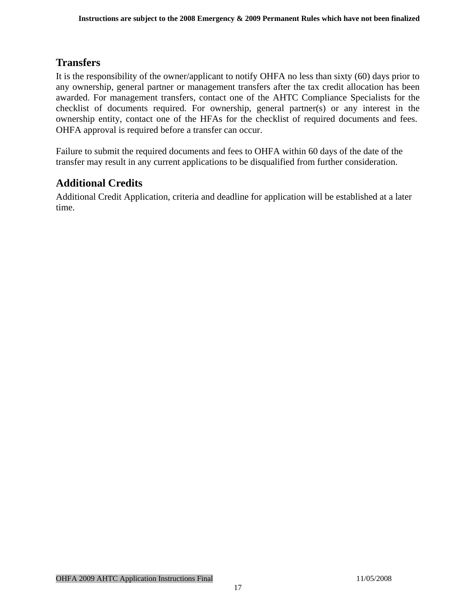## <span id="page-16-0"></span>**Transfers**

It is the responsibility of the owner/applicant to notify OHFA no less than sixty (60) days prior to any ownership, general partner or management transfers after the tax credit allocation has been awarded. For management transfers, contact one of the AHTC Compliance Specialists for the checklist of documents required. For ownership, general partner(s) or any interest in the ownership entity, contact one of the HFAs for the checklist of required documents and fees. OHFA approval is required before a transfer can occur.

Failure to submit the required documents and fees to OHFA within 60 days of the date of the transfer may result in any current applications to be disqualified from further consideration.

## **Additional Credits**

Additional Credit Application, criteria and deadline for application will be established at a later time.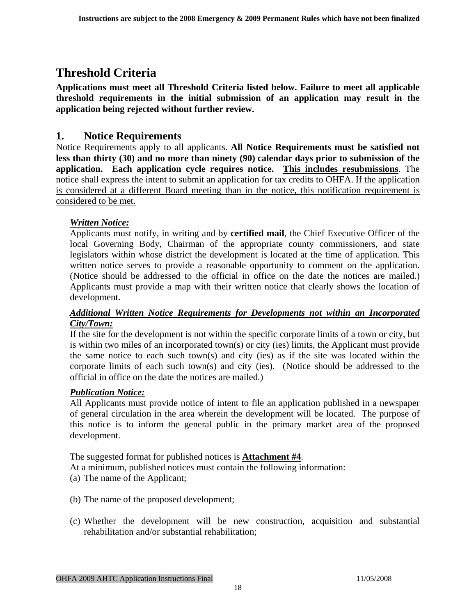## <span id="page-17-0"></span>**Threshold Criteria**

**Applications must meet all Threshold Criteria listed below. Failure to meet all applicable threshold requirements in the initial submission of an application may result in the application being rejected without further review.** 

## **1. Notice Requirements**

Notice Requirements apply to all applicants. **All Notice Requirements must be satisfied not less than thirty (30) and no more than ninety (90) calendar days prior to submission of the application. Each application cycle requires notice. This includes resubmissions**. The notice shall express the intent to submit an application for tax credits to OHFA. If the application is considered at a different Board meeting than in the notice, this notification requirement is considered to be met.

#### *Written Notice:*

Applicants must notify, in writing and by **certified mail**, the Chief Executive Officer of the local Governing Body, Chairman of the appropriate county commissioners, and state legislators within whose district the development is located at the time of application. This written notice serves to provide a reasonable opportunity to comment on the application. (Notice should be addressed to the official in office on the date the notices are mailed.) Applicants must provide a map with their written notice that clearly shows the location of development.

#### *Additional Written Notice Requirements for Developments not within an Incorporated City/Town:*

If the site for the development is not within the specific corporate limits of a town or city, but is within two miles of an incorporated town(s) or city (ies) limits, the Applicant must provide the same notice to each such town(s) and city (ies) as if the site was located within the corporate limits of each such town(s) and city (ies). (Notice should be addressed to the official in office on the date the notices are mailed.)

#### *Publication Notice:*

All Applicants must provide notice of intent to file an application published in a newspaper of general circulation in the area wherein the development will be located. The purpose of this notice is to inform the general public in the primary market area of the proposed development.

The suggested format for published notices is **Attachment #4**.

At a minimum, published notices must contain the following information:

- (a) The name of the Applicant;
- (b) The name of the proposed development;
- (c) Whether the development will be new construction, acquisition and substantial rehabilitation and/or substantial rehabilitation;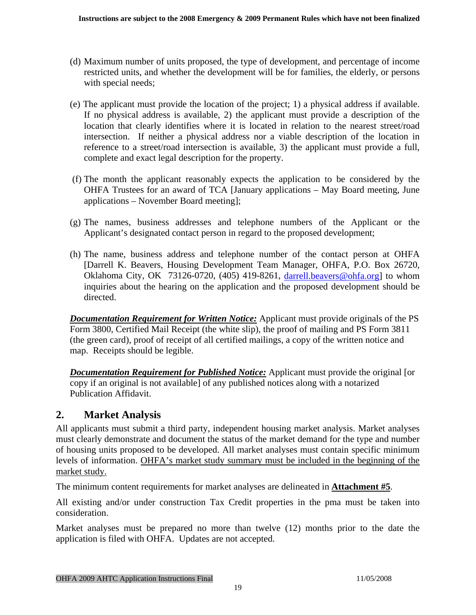- <span id="page-18-0"></span>(d) Maximum number of units proposed, the type of development, and percentage of income restricted units, and whether the development will be for families, the elderly, or persons with special needs;
- (e) The applicant must provide the location of the project; 1) a physical address if available. If no physical address is available, 2) the applicant must provide a description of the location that clearly identifies where it is located in relation to the nearest street/road intersection. If neither a physical address nor a viable description of the location in reference to a street/road intersection is available, 3) the applicant must provide a full, complete and exact legal description for the property.
- (f) The month the applicant reasonably expects the application to be considered by the OHFA Trustees for an award of TCA [January applications – May Board meeting, June applications – November Board meeting];
- (g) The names, business addresses and telephone numbers of the Applicant or the Applicant's designated contact person in regard to the proposed development;
- (h) The name, business address and telephone number of the contact person at OHFA [Darrell K. Beavers, Housing Development Team Manager, OHFA, P.O. Box 26720, Oklahoma City, OK 73126-0720, (405) 419-8261, [darrell.beavers@ohfa.org\]](mailto:darrell.beavers@ohfa.org) to whom inquiries about the hearing on the application and the proposed development should be directed.

*Documentation Requirement for Written Notice:* Applicant must provide originals of the PS Form 3800, Certified Mail Receipt (the white slip), the proof of mailing and PS Form 3811 (the green card), proof of receipt of all certified mailings, a copy of the written notice and map. Receipts should be legible.

*Documentation Requirement for Published Notice:* Applicant must provide the original [or copy if an original is not available] of any published notices along with a notarized Publication Affidavit.

## **2. Market Analysis**

All applicants must submit a third party, independent housing market analysis. Market analyses must clearly demonstrate and document the status of the market demand for the type and number of housing units proposed to be developed. All market analyses must contain specific minimum levels of information. OHFA's market study summary must be included in the beginning of the market study.

The minimum content requirements for market analyses are delineated in **Attachment #5**.

All existing and/or under construction Tax Credit properties in the pma must be taken into consideration.

Market analyses must be prepared no more than twelve (12) months prior to the date the application is filed with OHFA. Updates are not accepted.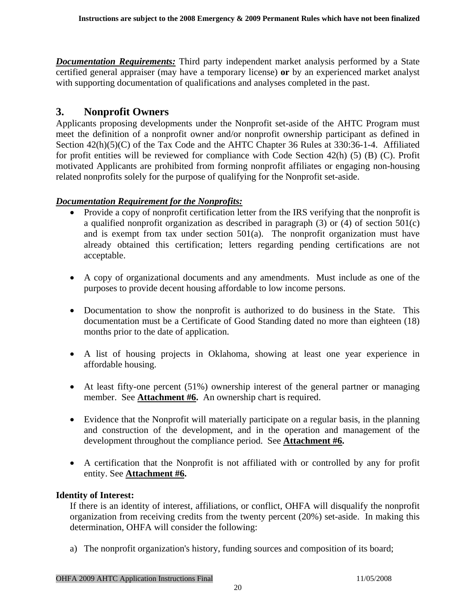<span id="page-19-0"></span>*Documentation Requirements:* Third party independent market analysis performed by a State certified general appraiser (may have a temporary license) **or** by an experienced market analyst with supporting documentation of qualifications and analyses completed in the past.

### **3. Nonprofit Owners**

Applicants proposing developments under the Nonprofit set-aside of the AHTC Program must meet the definition of a nonprofit owner and/or nonprofit ownership participant as defined in Section 42(h)(5)(C) of the Tax Code and the AHTC Chapter 36 Rules at 330:36-1-4. Affiliated for profit entities will be reviewed for compliance with Code Section 42(h) (5) (B) (C). Profit motivated Applicants are prohibited from forming nonprofit affiliates or engaging non-housing related nonprofits solely for the purpose of qualifying for the Nonprofit set-aside.

#### *Documentation Requirement for the Nonprofits:*

- Provide a copy of nonprofit certification letter from the IRS verifying that the nonprofit is a qualified nonprofit organization as described in paragraph (3) or (4) of section 501(c) and is exempt from tax under section 501(a). The nonprofit organization must have already obtained this certification; letters regarding pending certifications are not acceptable.
- A copy of organizational documents and any amendments. Must include as one of the purposes to provide decent housing affordable to low income persons.
- Documentation to show the nonprofit is authorized to do business in the State. This documentation must be a Certificate of Good Standing dated no more than eighteen (18) months prior to the date of application.
- A list of housing projects in Oklahoma, showing at least one year experience in affordable housing.
- At least fifty-one percent (51%) ownership interest of the general partner or managing member. See **Attachment #6.** An ownership chart is required.
- Evidence that the Nonprofit will materially participate on a regular basis, in the planning and construction of the development, and in the operation and management of the development throughout the compliance period. See **Attachment #6.**
- A certification that the Nonprofit is not affiliated with or controlled by any for profit entity. See **Attachment #6.**

#### **Identity of Interest:**

If there is an identity of interest, affiliations, or conflict, OHFA will disqualify the nonprofit organization from receiving credits from the twenty percent (20%) set-aside. In making this determination, OHFA will consider the following:

a) The nonprofit organization's history, funding sources and composition of its board;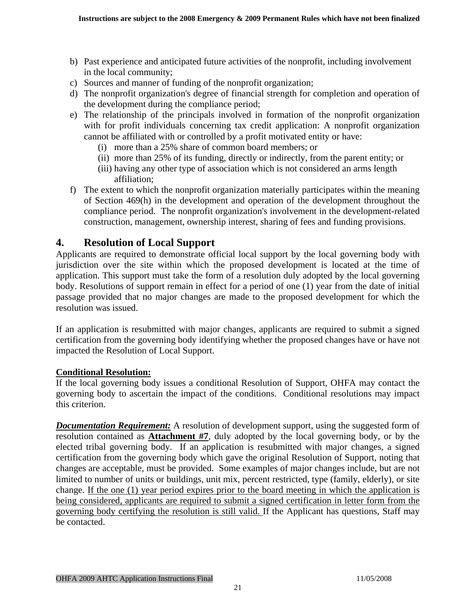- <span id="page-20-0"></span>b) Past experience and anticipated future activities of the nonprofit, including involvement in the local community;
- c) Sources and manner of funding of the nonprofit organization;
- d) The nonprofit organization's degree of financial strength for completion and operation of the development during the compliance period;
- e) The relationship of the principals involved in formation of the nonprofit organization with for profit individuals concerning tax credit application: A nonprofit organization cannot be affiliated with or controlled by a profit motivated entity or have:
	- (i) more than a 25% share of common board members; or
	- (ii) more than 25% of its funding, directly or indirectly, from the parent entity; or
	- (iii) having any other type of association which is not considered an arms length affiliation;
- f) The extent to which the nonprofit organization materially participates within the meaning of Section 469(h) in the development and operation of the development throughout the compliance period. The nonprofit organization's involvement in the development-related construction, management, ownership interest, sharing of fees and funding provisions.

## **4. Resolution of Local Support**

Applicants are required to demonstrate official local support by the local governing body with jurisdiction over the site within which the proposed development is located at the time of application. This support must take the form of a resolution duly adopted by the local governing body. Resolutions of support remain in effect for a period of one (1) year from the date of initial passage provided that no major changes are made to the proposed development for which the resolution was issued.

If an application is resubmitted with major changes, applicants are required to submit a signed certification from the governing body identifying whether the proposed changes have or have not impacted the Resolution of Local Support.

#### **Conditional Resolution:**

If the local governing body issues a conditional Resolution of Support, OHFA may contact the governing body to ascertain the impact of the conditions. Conditional resolutions may impact this criterion.

*Documentation Requirement:* A resolution of development support, using the suggested form of resolution contained as **Attachment #7**, duly adopted by the local governing body, or by the elected tribal governing body. If an application is resubmitted with major changes, a signed certification from the governing body which gave the original Resolution of Support, noting that changes are acceptable, must be provided. Some examples of major changes include, but are not limited to number of units or buildings, unit mix, percent restricted, type (family, elderly), or site change. If the one (1) year period expires prior to the board meeting in which the application is being considered, applicants are required to submit a signed certification in letter form from the governing body certifying the resolution is still valid. If the Applicant has questions, Staff may be contacted.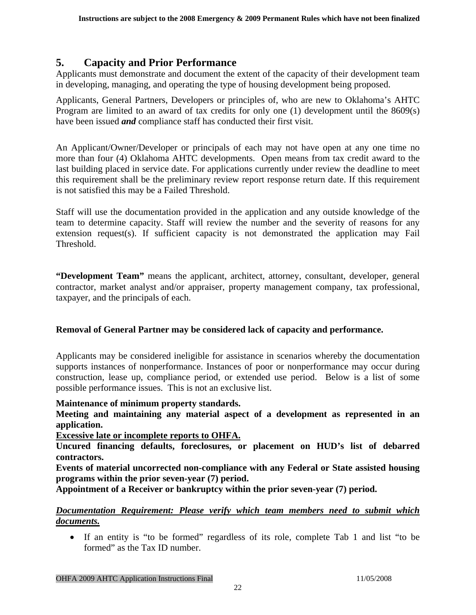## <span id="page-21-0"></span>**5. Capacity and Prior Performance**

Applicants must demonstrate and document the extent of the capacity of their development team in developing, managing, and operating the type of housing development being proposed.

Applicants, General Partners, Developers or principles of, who are new to Oklahoma's AHTC Program are limited to an award of tax credits for only one (1) development until the 8609(s) have been issued *and* compliance staff has conducted their first visit.

An Applicant/Owner/Developer or principals of each may not have open at any one time no more than four (4) Oklahoma AHTC developments. Open means from tax credit award to the last building placed in service date. For applications currently under review the deadline to meet this requirement shall be the preliminary review report response return date. If this requirement is not satisfied this may be a Failed Threshold.

Staff will use the documentation provided in the application and any outside knowledge of the team to determine capacity. Staff will review the number and the severity of reasons for any extension request(s). If sufficient capacity is not demonstrated the application may Fail Threshold.

**"Development Team"** means the applicant, architect, attorney, consultant, developer, general contractor, market analyst and/or appraiser, property management company, tax professional, taxpayer, and the principals of each.

#### **Removal of General Partner may be considered lack of capacity and performance.**

Applicants may be considered ineligible for assistance in scenarios whereby the documentation supports instances of nonperformance. Instances of poor or nonperformance may occur during construction, lease up, compliance period, or extended use period. Below is a list of some possible performance issues. This is not an exclusive list.

#### **Maintenance of minimum property standards.**

**Meeting and maintaining any material aspect of a development as represented in an application.** 

#### **Excessive late or incomplete reports to OHFA.**

**Uncured financing defaults, foreclosures, or placement on HUD's list of debarred contractors.**

**Events of material uncorrected non-compliance with any Federal or State assisted housing programs within the prior seven-year (7) period.** 

**Appointment of a Receiver or bankruptcy within the prior seven-year (7) period.** 

*Documentation Requirement: Please verify which team members need to submit which documents.*

• If an entity is "to be formed" regardless of its role, complete Tab 1 and list "to be formed" as the Tax ID number.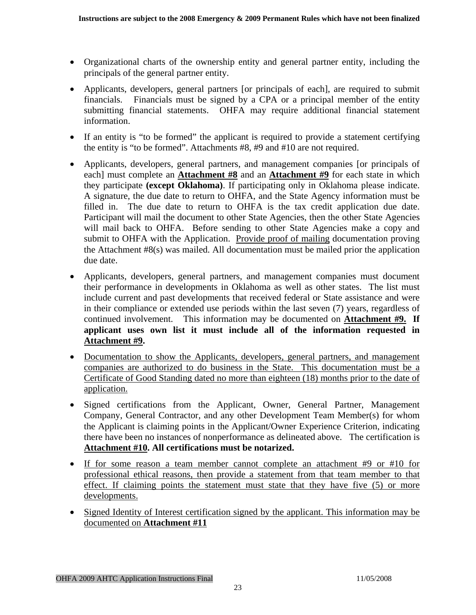- Organizational charts of the ownership entity and general partner entity, including the principals of the general partner entity.
- Applicants, developers, general partners [or principals of each], are required to submit financials. Financials must be signed by a CPA or a principal member of the entity submitting financial statements. OHFA may require additional financial statement information.
- If an entity is "to be formed" the applicant is required to provide a statement certifying the entity is "to be formed". Attachments #8, #9 and #10 are not required.
- Applicants, developers, general partners, and management companies [or principals of each] must complete an **Attachment #8** and an **Attachment #9** for each state in which they participate **(except Oklahoma)**. If participating only in Oklahoma please indicate. A signature, the due date to return to OHFA, and the State Agency information must be filled in. The due date to return to OHFA is the tax credit application due date. Participant will mail the document to other State Agencies, then the other State Agencies will mail back to OHFA. Before sending to other State Agencies make a copy and submit to OHFA with the Application. Provide proof of mailing documentation proving the Attachment #8(s) was mailed. All documentation must be mailed prior the application due date.
- Applicants, developers, general partners, and management companies must document their performance in developments in Oklahoma as well as other states. The list must include current and past developments that received federal or State assistance and were in their compliance or extended use periods within the last seven (7) years, regardless of continued involvement. This information may be documented on **Attachment #9. If applicant uses own list it must include all of the information requested in Attachment #9.**
- Documentation to show the Applicants, developers, general partners, and management companies are authorized to do business in the State. This documentation must be a Certificate of Good Standing dated no more than eighteen (18) months prior to the date of application.
- Signed certifications from the Applicant, Owner, General Partner, Management Company, General Contractor, and any other Development Team Member(s) for whom the Applicant is claiming points in the Applicant/Owner Experience Criterion, indicating there have been no instances of nonperformance as delineated above. The certification is **Attachment #10. All certifications must be notarized.**
- If for some reason a team member cannot complete an attachment #9 or #10 for professional ethical reasons, then provide a statement from that team member to that effect. If claiming points the statement must state that they have five (5) or more developments.
- Signed Identity of Interest certification signed by the applicant. This information may be documented on **Attachment #11**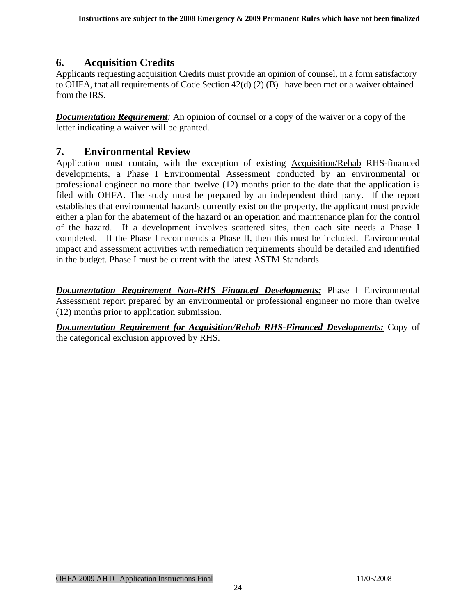## <span id="page-23-0"></span>**6. Acquisition Credits**

Applicants requesting acquisition Credits must provide an opinion of counsel, in a form satisfactory to OHFA, that all requirements of Code Section 42(d) (2) (B) have been met or a waiver obtained from the IRS.

*Documentation Requirement:* An opinion of counsel or a copy of the waiver or a copy of the letter indicating a waiver will be granted.

## **7. Environmental Review**

Application must contain, with the exception of existing Acquisition/Rehab RHS-financed developments, a Phase I Environmental Assessment conducted by an environmental or professional engineer no more than twelve (12) months prior to the date that the application is filed with OHFA. The study must be prepared by an independent third party. If the report establishes that environmental hazards currently exist on the property, the applicant must provide either a plan for the abatement of the hazard or an operation and maintenance plan for the control of the hazard. If a development involves scattered sites, then each site needs a Phase I completed. If the Phase I recommends a Phase II, then this must be included. Environmental impact and assessment activities with remediation requirements should be detailed and identified in the budget. Phase I must be current with the latest ASTM Standards.

*Documentation Requirement Non-RHS Financed Developments:* Phase I Environmental Assessment report prepared by an environmental or professional engineer no more than twelve (12) months prior to application submission.

*Documentation Requirement for Acquisition/Rehab RHS-Financed Developments:* Copy of the categorical exclusion approved by RHS.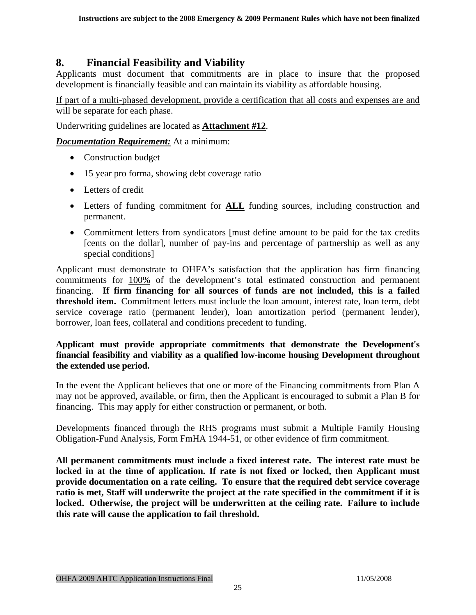## <span id="page-24-0"></span>**8. Financial Feasibility and Viability**

Applicants must document that commitments are in place to insure that the proposed development is financially feasible and can maintain its viability as affordable housing.

If part of a multi-phased development, provide a certification that all costs and expenses are and will be separate for each phase.

Underwriting guidelines are located as **Attachment #12**.

*Documentation Requirement:* At a minimum:

- Construction budget
- 15 year pro forma, showing debt coverage ratio
- Letters of credit
- Letters of funding commitment for **ALL** funding sources, including construction and permanent.
- Commitment letters from syndicators [must define amount to be paid for the tax credits [cents on the dollar], number of pay-ins and percentage of partnership as well as any special conditions]

Applicant must demonstrate to OHFA's satisfaction that the application has firm financing commitments for 100% of the development's total estimated construction and permanent financing. **If firm financing for all sources of funds are not included, this is a failed threshold item.** Commitment letters must include the loan amount, interest rate, loan term, debt service coverage ratio (permanent lender), loan amortization period (permanent lender), borrower, loan fees, collateral and conditions precedent to funding.

#### **Applicant must provide appropriate commitments that demonstrate the Development's financial feasibility and viability as a qualified low-income housing Development throughout the extended use period.**

In the event the Applicant believes that one or more of the Financing commitments from Plan A may not be approved, available, or firm, then the Applicant is encouraged to submit a Plan B for financing. This may apply for either construction or permanent, or both.

Developments financed through the RHS programs must submit a Multiple Family Housing Obligation-Fund Analysis, Form FmHA 1944-51, or other evidence of firm commitment.

**All permanent commitments must include a fixed interest rate. The interest rate must be locked in at the time of application. If rate is not fixed or locked, then Applicant must provide documentation on a rate ceiling. To ensure that the required debt service coverage ratio is met, Staff will underwrite the project at the rate specified in the commitment if it is locked. Otherwise, the project will be underwritten at the ceiling rate. Failure to include this rate will cause the application to fail threshold.**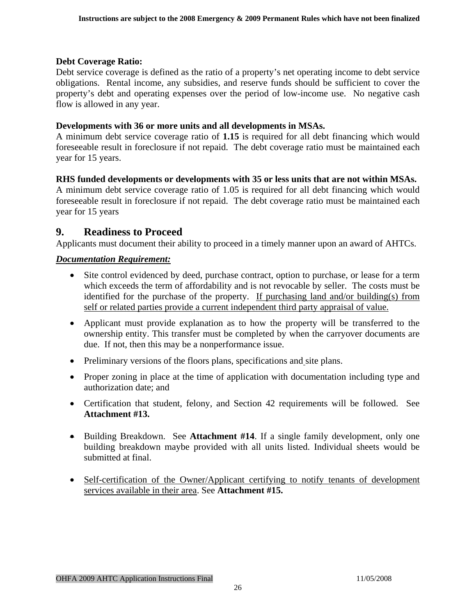#### <span id="page-25-0"></span>**Debt Coverage Ratio:**

Debt service coverage is defined as the ratio of a property's net operating income to debt service obligations. Rental income, any subsidies, and reserve funds should be sufficient to cover the property's debt and operating expenses over the period of low-income use. No negative cash flow is allowed in any year.

#### **Developments with 36 or more units and all developments in MSAs.**

A minimum debt service coverage ratio of **1.15** is required for all debt financing which would foreseeable result in foreclosure if not repaid. The debt coverage ratio must be maintained each year for 15 years.

#### **RHS funded developments or developments with 35 or less units that are not within MSAs.**

A minimum debt service coverage ratio of 1.05 is required for all debt financing which would foreseeable result in foreclosure if not repaid. The debt coverage ratio must be maintained each year for 15 years

#### **9. Readiness to Proceed**

Applicants must document their ability to proceed in a timely manner upon an award of AHTCs.

#### *Documentation Requirement:*

- Site control evidenced by deed, purchase contract, option to purchase, or lease for a term which exceeds the term of affordability and is not revocable by seller. The costs must be identified for the purchase of the property. If purchasing land and/or building(s) from self or related parties provide a current independent third party appraisal of value.
- Applicant must provide explanation as to how the property will be transferred to the ownership entity. This transfer must be completed by when the carryover documents are due. If not, then this may be a nonperformance issue.
- Preliminary versions of the floors plans, specifications and site plans.
- Proper zoning in place at the time of application with documentation including type and authorization date; and
- Certification that student, felony, and Section 42 requirements will be followed. See **Attachment #13.**
- Building Breakdown. See **Attachment #14**. If a single family development, only one building breakdown maybe provided with all units listed. Individual sheets would be submitted at final.
- Self-certification of the Owner/Applicant certifying to notify tenants of development services available in their area. See **Attachment #15.**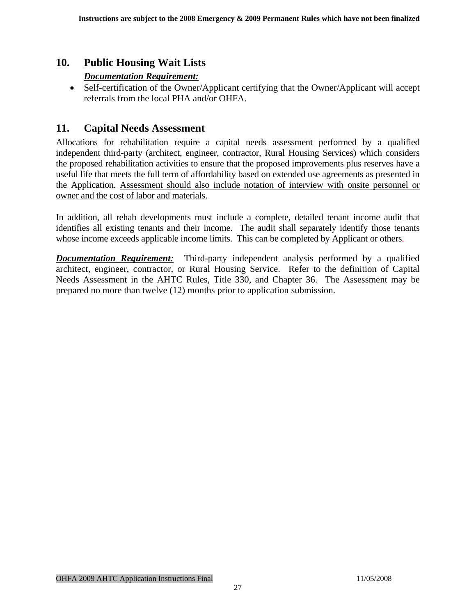## <span id="page-26-0"></span>**10. Public Housing Wait Lists**

#### *Documentation Requirement:*

• Self-certification of the Owner/Applicant certifying that the Owner/Applicant will accept referrals from the local PHA and/or OHFA.

## **11. Capital Needs Assessment**

Allocations for rehabilitation require a capital needs assessment performed by a qualified independent third-party (architect, engineer, contractor, Rural Housing Services) which considers the proposed rehabilitation activities to ensure that the proposed improvements plus reserves have a useful life that meets the full term of affordability based on extended use agreements as presented in the Application. Assessment should also include notation of interview with onsite personnel or owner and the cost of labor and materials.

In addition, all rehab developments must include a complete, detailed tenant income audit that identifies all existing tenants and their income. The audit shall separately identify those tenants whose income exceeds applicable income limits. This can be completed by Applicant or others.

*Documentation Requirement:* Third-party independent analysis performed by a qualified architect, engineer, contractor, or Rural Housing Service. Refer to the definition of Capital Needs Assessment in the AHTC Rules, Title 330, and Chapter 36. The Assessment may be prepared no more than twelve (12) months prior to application submission.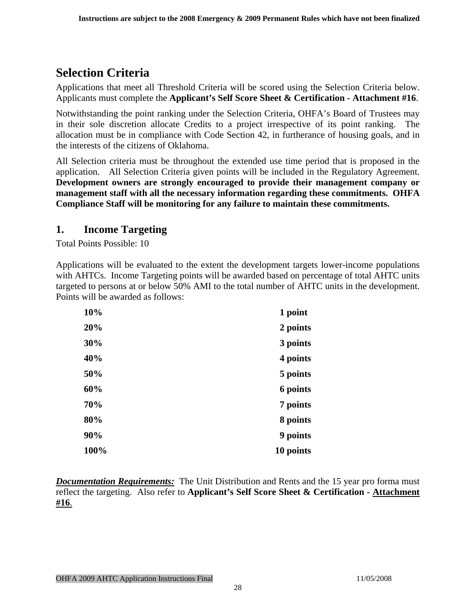## <span id="page-27-0"></span>**Selection Criteria**

Applications that meet all Threshold Criteria will be scored using the Selection Criteria below. Applicants must complete the **Applicant's Self Score Sheet & Certification - Attachment #16**.

Notwithstanding the point ranking under the Selection Criteria, OHFA's Board of Trustees may in their sole discretion allocate Credits to a project irrespective of its point ranking. The allocation must be in compliance with Code Section 42, in furtherance of housing goals, and in the interests of the citizens of Oklahoma.

All Selection criteria must be throughout the extended use time period that is proposed in the application. All Selection Criteria given points will be included in the Regulatory Agreement. **Development owners are strongly encouraged to provide their management company or management staff with all the necessary information regarding these commitments. OHFA Compliance Staff will be monitoring for any failure to maintain these commitments.** 

## **1. Income Targeting**

Total Points Possible: 10

Applications will be evaluated to the extent the development targets lower-income populations with AHTCs. Income Targeting points will be awarded based on percentage of total AHTC units targeted to persons at or below 50% AMI to the total number of AHTC units in the development. Points will be awarded as follows:

| 10%  | 1 point   |
|------|-----------|
| 20%  | 2 points  |
| 30%  | 3 points  |
| 40%  | 4 points  |
| 50%  | 5 points  |
| 60%  | 6 points  |
| 70%  | 7 points  |
| 80%  | 8 points  |
| 90%  | 9 points  |
| 100% | 10 points |

*Documentation Requirements:* The Unit Distribution and Rents and the 15 year pro forma must reflect the targeting. Also refer to **Applicant's Self Score Sheet & Certification - Attachment #16**.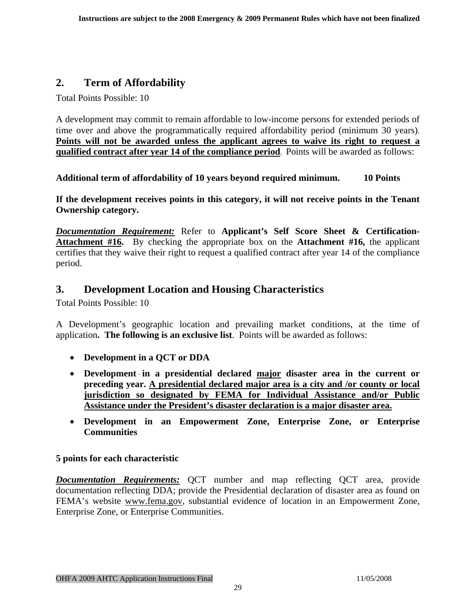## <span id="page-28-0"></span>**2. Term of Affordability**

Total Points Possible: 10

A development may commit to remain affordable to low-income persons for extended periods of time over and above the programmatically required affordability period (minimum 30 years). **Points will not be awarded unless the applicant agrees to waive its right to request a qualified contract after year 14 of the compliance period**. Points will be awarded as follows:

**Additional term of affordability of 10 years beyond required minimum. 10 Points** 

**If the development receives points in this category, it will not receive points in the Tenant Ownership category.** 

*Documentation Requirement:* Refer to **Applicant's Self Score Sheet & Certification-Attachment #16.** By checking the appropriate box on the **Attachment #16,** the applicant certifies that they waive their right to request a qualified contract after year 14 of the compliance period.

### **3. Development Location and Housing Characteristics**

Total Points Possible: 10

A Development's geographic location and prevailing market conditions, at the time of application**. The following is an exclusive list**. Points will be awarded as follows:

- **Development in a QCT or DDA**
- **Development in a presidential declared major disaster area in the current or preceding year. A presidential declared major area is a city and /or county or local jurisdiction so designated by FEMA for Individual Assistance and/or Public Assistance under the President's disaster declaration is a major disaster area.**
- **Development in an Empowerment Zone, Enterprise Zone, or Enterprise Communities**

#### **5 points for each characteristic**

*Documentation Requirements:* QCT number and map reflecting QCT area, provide documentation reflecting DDA; provide the Presidential declaration of disaster area as found on FEMA's website www.fema.gov, substantial evidence of location in an Empowerment Zone, Enterprise Zone, or Enterprise Communities.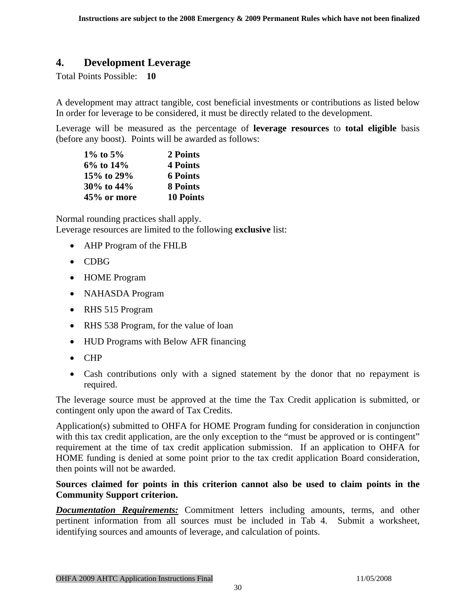### <span id="page-29-0"></span>**4. Development Leverage**

Total Points Possible: **10**

A development may attract tangible, cost beneficial investments or contributions as listed below In order for leverage to be considered, it must be directly related to the development.

Leverage will be measured as the percentage of **leverage resources** to **total eligible** basis (before any boost). Points will be awarded as follows:

| $1\%$ to 5% | 2 Points         |
|-------------|------------------|
| 6% to 14%   | 4 Points         |
| 15% to 29%  | <b>6 Points</b>  |
| 30% to 44%  | <b>8 Points</b>  |
| 45% or more | <b>10 Points</b> |

Normal rounding practices shall apply. Leverage resources are limited to the following **exclusive** list:

- AHP Program of the FHLB
- CDBG
- HOME Program
- NAHASDA Program
- RHS 515 Program
- RHS 538 Program, for the value of loan
- HUD Programs with Below AFR financing
- CHP
- Cash contributions only with a signed statement by the donor that no repayment is required.

The leverage source must be approved at the time the Tax Credit application is submitted, or contingent only upon the award of Tax Credits.

Application(s) submitted to OHFA for HOME Program funding for consideration in conjunction with this tax credit application, are the only exception to the "must be approved or is contingent" requirement at the time of tax credit application submission. If an application to OHFA for HOME funding is denied at some point prior to the tax credit application Board consideration, then points will not be awarded.

#### **Sources claimed for points in this criterion cannot also be used to claim points in the Community Support criterion.**

*Documentation Requirements:* Commitment letters including amounts, terms, and other pertinent information from all sources must be included in Tab 4. Submit a worksheet, identifying sources and amounts of leverage, and calculation of points.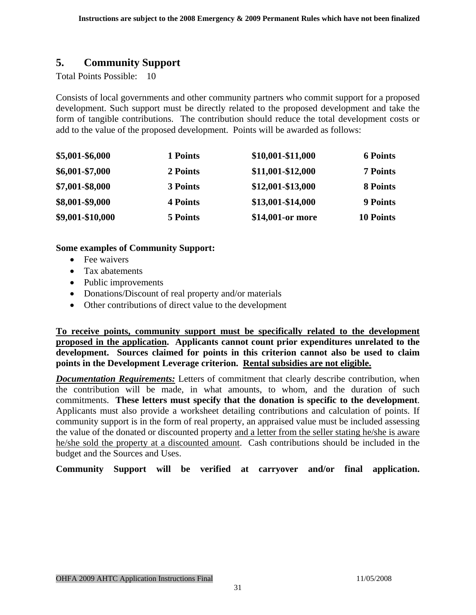## <span id="page-30-0"></span>**5. Community Support**

Total Points Possible: 10

Consists of local governments and other community partners who commit support for a proposed development. Such support must be directly related to the proposed development and take the form of tangible contributions. The contribution should reduce the total development costs or add to the value of the proposed development. Points will be awarded as follows:

| \$5,001-\$6,000  | 1 Points | \$10,001-\$11,000 | <b>6 Points</b>  |
|------------------|----------|-------------------|------------------|
| \$6,001-\$7,000  | 2 Points | \$11,001-\$12,000 | <b>7 Points</b>  |
| \$7,001-\$8,000  | 3 Points | \$12,001-\$13,000 | 8 Points         |
| \$8,001-\$9,000  | 4 Points | \$13,001-\$14,000 | <b>9 Points</b>  |
| \$9,001-\$10,000 | 5 Points | \$14,001-or more  | <b>10 Points</b> |

#### **Some examples of Community Support:**

- Fee waivers
- Tax abatements
- Public improvements
- Donations/Discount of real property and/or materials
- Other contributions of direct value to the development

**To receive points, community support must be specifically related to the development proposed in the application. Applicants cannot count prior expenditures unrelated to the development. Sources claimed for points in this criterion cannot also be used to claim points in the Development Leverage criterion. Rental subsidies are not eligible.**

*Documentation Requirements:* Letters of commitment that clearly describe contribution, when the contribution will be made, in what amounts, to whom, and the duration of such commitments. **These letters must specify that the donation is specific to the development**. Applicants must also provide a worksheet detailing contributions and calculation of points. If community support is in the form of real property, an appraised value must be included assessing the value of the donated or discounted property and a letter from the seller stating he/she is aware he/she sold the property at a discounted amount. Cash contributions should be included in the budget and the Sources and Uses.

**Community Support will be verified at carryover and/or final application.**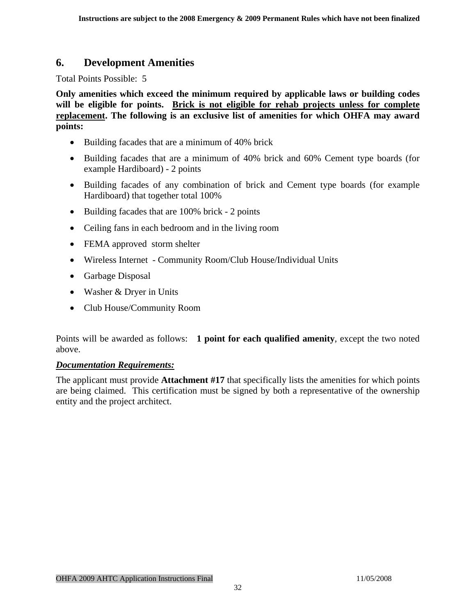## <span id="page-31-0"></span>**6. Development Amenities**

Total Points Possible: 5

**Only amenities which exceed the minimum required by applicable laws or building codes will be eligible for points. Brick is not eligible for rehab projects unless for complete replacement. The following is an exclusive list of amenities for which OHFA may award points:** 

- Building facades that are a minimum of 40% brick
- Building facades that are a minimum of 40% brick and 60% Cement type boards (for example Hardiboard) - 2 points
- Building facades of any combination of brick and Cement type boards (for example Hardiboard) that together total 100%
- Building facades that are 100% brick 2 points
- Ceiling fans in each bedroom and in the living room
- FEMA approved storm shelter
- Wireless Internet Community Room/Club House/Individual Units
- Garbage Disposal
- Washer & Dryer in Units
- Club House/Community Room

Points will be awarded as follows: **1 point for each qualified amenity**, except the two noted above.

#### *Documentation Requirements:*

The applicant must provide **Attachment #17** that specifically lists the amenities for which points are being claimed. This certification must be signed by both a representative of the ownership entity and the project architect.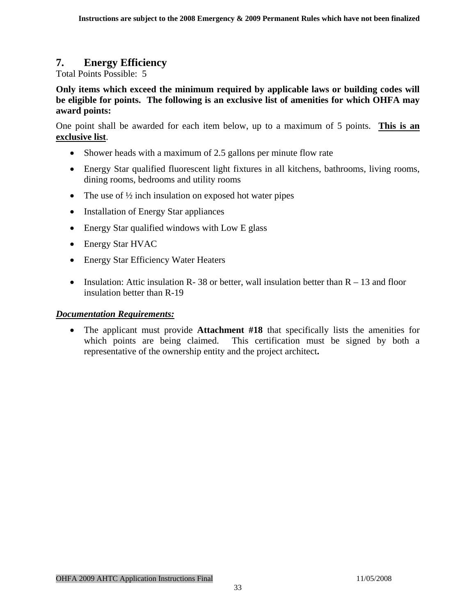## <span id="page-32-0"></span>**7. Energy Efficiency**

Total Points Possible: 5

**Only items which exceed the minimum required by applicable laws or building codes will be eligible for points. The following is an exclusive list of amenities for which OHFA may award points:** 

One point shall be awarded for each item below, up to a maximum of 5 points. **This is an exclusive list**.

- Shower heads with a maximum of 2.5 gallons per minute flow rate
- Energy Star qualified fluorescent light fixtures in all kitchens, bathrooms, living rooms, dining rooms, bedrooms and utility rooms
- The use of  $\frac{1}{2}$  inch insulation on exposed hot water pipes
- Installation of Energy Star appliances
- Energy Star qualified windows with Low E glass
- Energy Star HVAC
- Energy Star Efficiency Water Heaters
- Insulation: Attic insulation R- 38 or better, wall insulation better than  $R 13$  and floor insulation better than R-19

#### *Documentation Requirements:*

• The applicant must provide **Attachment #18** that specifically lists the amenities for which points are being claimed. This certification must be signed by both a representative of the ownership entity and the project architect**.**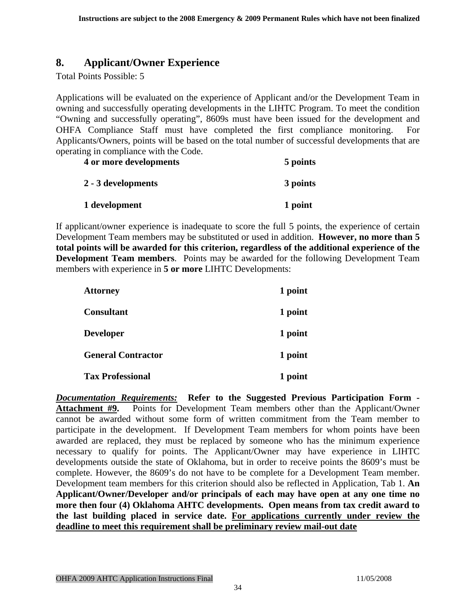## <span id="page-33-0"></span>**8. Applicant/Owner Experience**

Total Points Possible: 5

Applications will be evaluated on the experience of Applicant and/or the Development Team in owning and successfully operating developments in the LIHTC Program. To meet the condition "Owning and successfully operating", 8609s must have been issued for the development and OHFA Compliance Staff must have completed the first compliance monitoring. For Applicants/Owners, points will be based on the total number of successful developments that are operating in compliance with the Code.

| 4 or more developments | 5 points |
|------------------------|----------|
| 2 - 3 developments     | 3 points |
| 1 development          | 1 point  |

If applicant/owner experience is inadequate to score the full 5 points, the experience of certain Development Team members may be substituted or used in addition. **However, no more than 5 total points will be awarded for this criterion, regardless of the additional experience of the Development Team members**. Points may be awarded for the following Development Team members with experience in **5 or more** LIHTC Developments:

| <b>Attorney</b>           | 1 point |
|---------------------------|---------|
| <b>Consultant</b>         | 1 point |
| <b>Developer</b>          | 1 point |
| <b>General Contractor</b> | 1 point |
| <b>Tax Professional</b>   | 1 point |

*Documentation Requirements:* **Refer to the Suggested Previous Participation Form - Attachment #9.** Points for Development Team members other than the Applicant/Owner cannot be awarded without some form of written commitment from the Team member to participate in the development. If Development Team members for whom points have been awarded are replaced, they must be replaced by someone who has the minimum experience necessary to qualify for points. The Applicant/Owner may have experience in LIHTC developments outside the state of Oklahoma, but in order to receive points the 8609's must be complete. However, the 8609's do not have to be complete for a Development Team member. Development team members for this criterion should also be reflected in Application, Tab 1. **An Applicant/Owner/Developer and/or principals of each may have open at any one time no more then four (4) Oklahoma AHTC developments. Open means from tax credit award to the last building placed in service date. For applications currently under review the deadline to meet this requirement shall be preliminary review mail-out date**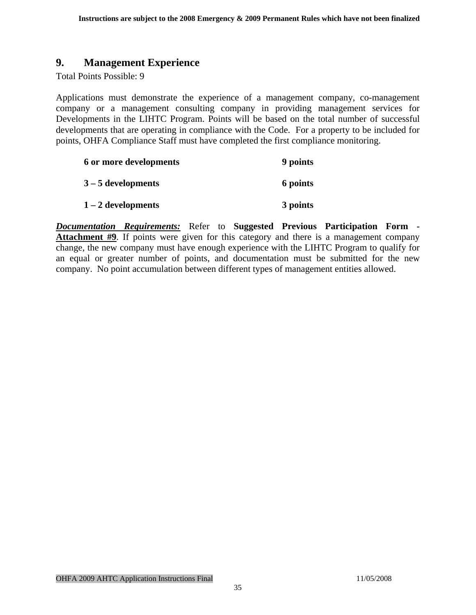### <span id="page-34-0"></span>**9. Management Experience**

Total Points Possible: 9

Applications must demonstrate the experience of a management company, co-management company or a management consulting company in providing management services for Developments in the LIHTC Program. Points will be based on the total number of successful developments that are operating in compliance with the Code. For a property to be included for points, OHFA Compliance Staff must have completed the first compliance monitoring.

| 6 or more developments | 9 points |
|------------------------|----------|
| $3 - 5$ developments   | 6 points |
| $1 - 2$ developments   | 3 points |

*Documentation Requirements:* Refer to **Suggested Previous Participation Form - Attachment #9**. If points were given for this category and there is a management company change, the new company must have enough experience with the LIHTC Program to qualify for an equal or greater number of points, and documentation must be submitted for the new company. No point accumulation between different types of management entities allowed.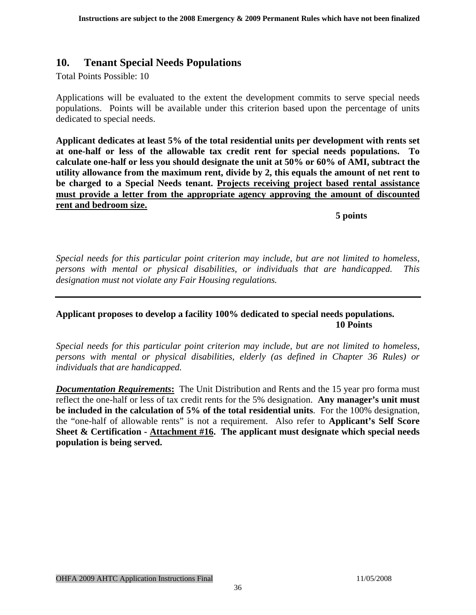### <span id="page-35-0"></span>**10. Tenant Special Needs Populations**

Total Points Possible: 10

Applications will be evaluated to the extent the development commits to serve special needs populations. Points will be available under this criterion based upon the percentage of units dedicated to special needs.

**Applicant dedicates at least 5% of the total residential units per development with rents set at one-half or less of the allowable tax credit rent for special needs populations. To calculate one-half or less you should designate the unit at 50% or 60% of AMI, subtract the utility allowance from the maximum rent, divide by 2, this equals the amount of net rent to be charged to a Special Needs tenant. Projects receiving project based rental assistance must provide a letter from the appropriate agency approving the amount of discounted rent and bedroom size.**

 **5 points**

*Special needs for this particular point criterion may include, but are not limited to homeless, persons with mental or physical disabilities, or individuals that are handicapped. This designation must not violate any Fair Housing regulations.* 

**Applicant proposes to develop a facility 100% dedicated to special needs populations. 10 Points**

*Special needs for this particular point criterion may include, but are not limited to homeless, persons with mental or physical disabilities, elderly (as defined in Chapter 36 Rules) or individuals that are handicapped.* 

*Documentation Requirements*: The Unit Distribution and Rents and the 15 year pro forma must reflect the one-half or less of tax credit rents for the 5% designation. **Any manager's unit must be included in the calculation of 5% of the total residential units**. For the 100% designation, the "one-half of allowable rents" is not a requirement. Also refer to **Applicant's Self Score Sheet & Certification - Attachment #16. The applicant must designate which special needs population is being served.**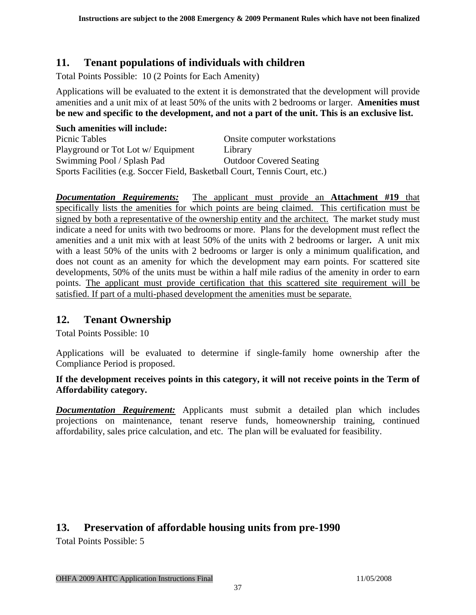## <span id="page-36-0"></span>**11. Tenant populations of individuals with children**

Total Points Possible: 10 (2 Points for Each Amenity)

Applications will be evaluated to the extent it is demonstrated that the development will provide amenities and a unit mix of at least 50% of the units with 2 bedrooms or larger. **Amenities must be new and specific to the development, and not a part of the unit. This is an exclusive list.** 

| Such amenities will include:                                                |                                |
|-----------------------------------------------------------------------------|--------------------------------|
| Picnic Tables                                                               | Onsite computer workstations   |
| Playground or Tot Lot w/ Equipment                                          | Library                        |
| Swimming Pool / Splash Pad                                                  | <b>Outdoor Covered Seating</b> |
| Sports Facilities (e.g. Soccer Field, Basketball Court, Tennis Court, etc.) |                                |

*Documentation Requirements:* The applicant must provide an **Attachment #19** that specifically lists the amenities for which points are being claimed. This certification must be signed by both a representative of the ownership entity and the architect. The market study must indicate a need for units with two bedrooms or more. Plans for the development must reflect the amenities and a unit mix with at least 50% of the units with 2 bedrooms or larger**.** A unit mix with a least 50% of the units with 2 bedrooms or larger is only a minimum qualification, and does not count as an amenity for which the development may earn points. For scattered site developments, 50% of the units must be within a half mile radius of the amenity in order to earn points. The applicant must provide certification that this scattered site requirement will be satisfied. If part of a multi-phased development the amenities must be separate.

## **12. Tenant Ownership**

Total Points Possible: 10

Applications will be evaluated to determine if single-family home ownership after the Compliance Period is proposed.

#### **If the development receives points in this category, it will not receive points in the Term of Affordability category.**

*Documentation Requirement:* Applicants must submit a detailed plan which includes projections on maintenance, tenant reserve funds, homeownership training, continued affordability, sales price calculation, and etc. The plan will be evaluated for feasibility.

## **13. Preservation of affordable housing units from pre-1990**

Total Points Possible: 5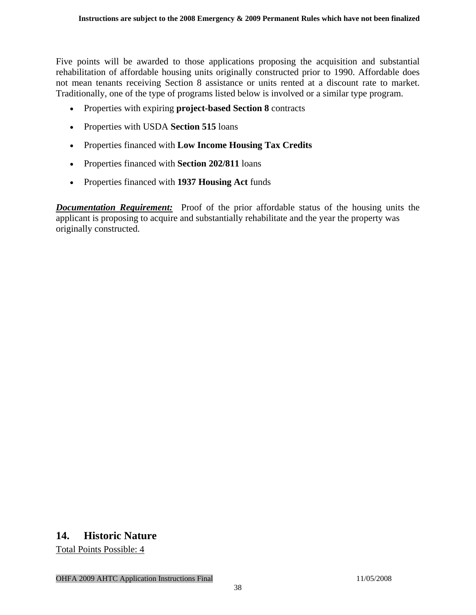<span id="page-37-0"></span>Five points will be awarded to those applications proposing the acquisition and substantial rehabilitation of affordable housing units originally constructed prior to 1990. Affordable does not mean tenants receiving Section 8 assistance or units rented at a discount rate to market. Traditionally, one of the type of programs listed below is involved or a similar type program.

- Properties with expiring **project-based Section 8** contracts
- Properties with USDA **Section 515** loans
- Properties financed with **Low Income Housing Tax Credits**
- Properties financed with **Section 202/811** loans
- Properties financed with **1937 Housing Act** funds

*Documentation Requirement:* Proof of the prior affordable status of the housing units the applicant is proposing to acquire and substantially rehabilitate and the year the property was originally constructed.

#### **14. Historic Nature**

Total Points Possible: 4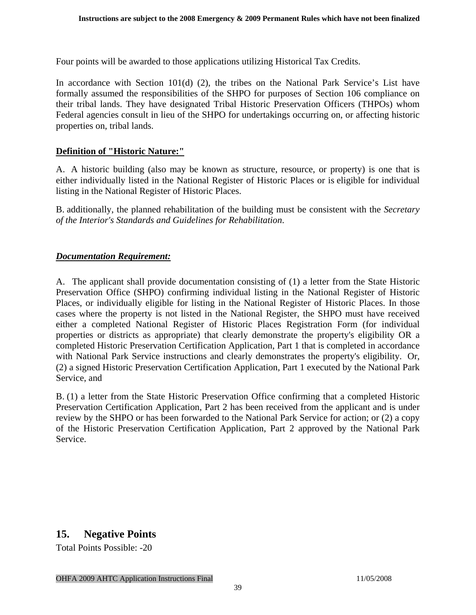<span id="page-38-0"></span>Four points will be awarded to those applications utilizing Historical Tax Credits.

In accordance with Section 101(d) (2), the tribes on the National Park Service's List have formally assumed the responsibilities of the SHPO for purposes of Section 106 compliance on their tribal lands. They have designated Tribal Historic Preservation Officers (THPOs) whom Federal agencies consult in lieu of the SHPO for undertakings occurring on, or affecting historic properties on, tribal lands.

#### **Definition of "Historic Nature:"**

A. A historic building (also may be known as structure, resource, or property) is one that is either individually listed in the National Register of Historic Places or is eligible for individual listing in the National Register of Historic Places.

B. additionally, the planned rehabilitation of the building must be consistent with the *Secretary of the Interior's Standards and Guidelines for Rehabilitation*.

#### *Documentation Requirement:*

A. The applicant shall provide documentation consisting of (1) a letter from the State Historic Preservation Office (SHPO) confirming individual listing in the National Register of Historic Places, or individually eligible for listing in the National Register of Historic Places. In those cases where the property is not listed in the National Register, the SHPO must have received either a completed National Register of Historic Places Registration Form (for individual properties or districts as appropriate) that clearly demonstrate the property's eligibility OR a completed Historic Preservation Certification Application, Part 1 that is completed in accordance with National Park Service instructions and clearly demonstrates the property's eligibility. Or, (2) a signed Historic Preservation Certification Application, Part 1 executed by the National Park Service, and

B. (1) a letter from the State Historic Preservation Office confirming that a completed Historic Preservation Certification Application, Part 2 has been received from the applicant and is under review by the SHPO or has been forwarded to the National Park Service for action; or (2) a copy of the Historic Preservation Certification Application, Part 2 approved by the National Park Service.

## **15. Negative Points**

Total Points Possible: -20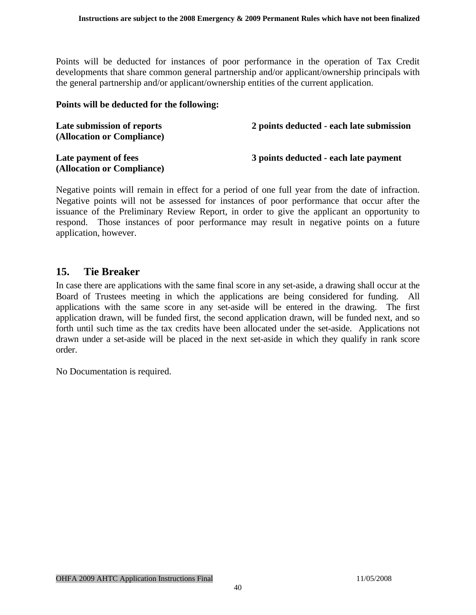<span id="page-39-0"></span>Points will be deducted for instances of poor performance in the operation of Tax Credit developments that share common general partnership and/or applicant/ownership principals with the general partnership and/or applicant/ownership entities of the current application.

#### **Points will be deducted for the following:**

| Late submission of reports<br>(Allocation or Compliance) | 2 points deducted - each late submission |
|----------------------------------------------------------|------------------------------------------|
| Late payment of fees<br>(Allocation or Compliance)       | 3 points deducted - each late payment    |

Negative points will remain in effect for a period of one full year from the date of infraction. Negative points will not be assessed for instances of poor performance that occur after the issuance of the Preliminary Review Report, in order to give the applicant an opportunity to respond. Those instances of poor performance may result in negative points on a future application, however.

#### **15. Tie Breaker**

In case there are applications with the same final score in any set-aside, a drawing shall occur at the Board of Trustees meeting in which the applications are being considered for funding. All applications with the same score in any set-aside will be entered in the drawing. The first application drawn, will be funded first, the second application drawn, will be funded next, and so forth until such time as the tax credits have been allocated under the set-aside. Applications not drawn under a set-aside will be placed in the next set-aside in which they qualify in rank score order.

No Documentation is required.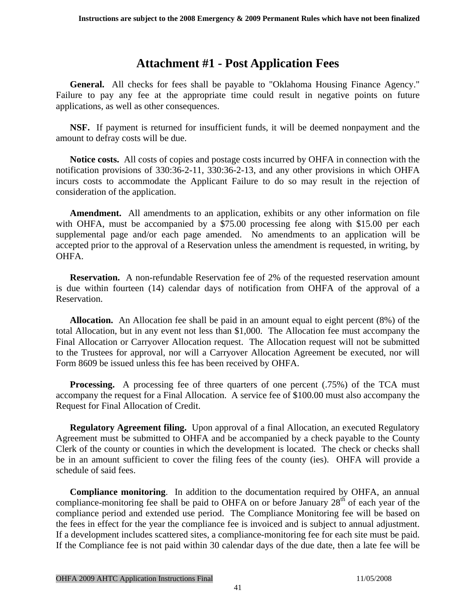## **Attachment #1 - Post Application Fees**

<span id="page-40-0"></span> **General.** All checks for fees shall be payable to "Oklahoma Housing Finance Agency." Failure to pay any fee at the appropriate time could result in negative points on future applications, as well as other consequences.

**NSF.** If payment is returned for insufficient funds, it will be deemed nonpayment and the amount to defray costs will be due.

 **Notice costs.** All costs of copies and postage costs incurred by OHFA in connection with the notification provisions of 330:36-2-11, 330:36-2-13, and any other provisions in which OHFA incurs costs to accommodate the Applicant Failure to do so may result in the rejection of consideration of the application.

**Amendment.** All amendments to an application, exhibits or any other information on file with OHFA, must be accompanied by a \$75.00 processing fee along with \$15.00 per each supplemental page and/or each page amended. No amendments to an application will be accepted prior to the approval of a Reservation unless the amendment is requested, in writing, by OHFA.

**Reservation.** A non-refundable Reservation fee of 2% of the requested reservation amount is due within fourteen (14) calendar days of notification from OHFA of the approval of a Reservation.

**Allocation.** An Allocation fee shall be paid in an amount equal to eight percent (8%) of the total Allocation, but in any event not less than \$1,000. The Allocation fee must accompany the Final Allocation or Carryover Allocation request. The Allocation request will not be submitted to the Trustees for approval, nor will a Carryover Allocation Agreement be executed, nor will Form 8609 be issued unless this fee has been received by OHFA.

**Processing.** A processing fee of three quarters of one percent (.75%) of the TCA must accompany the request for a Final Allocation. A service fee of \$100.00 must also accompany the Request for Final Allocation of Credit.

**Regulatory Agreement filing.** Upon approval of a final Allocation, an executed Regulatory Agreement must be submitted to OHFA and be accompanied by a check payable to the County Clerk of the county or counties in which the development is located. The check or checks shall be in an amount sufficient to cover the filing fees of the county (ies). OHFA will provide a schedule of said fees.

**Compliance monitoring**. In addition to the documentation required by OHFA, an annual compliance-monitoring fee shall be paid to OHFA on or before January 28<sup>th</sup> of each year of the compliance period and extended use period. The Compliance Monitoring fee will be based on the fees in effect for the year the compliance fee is invoiced and is subject to annual adjustment. If a development includes scattered sites, a compliance-monitoring fee for each site must be paid. If the Compliance fee is not paid within 30 calendar days of the due date, then a late fee will be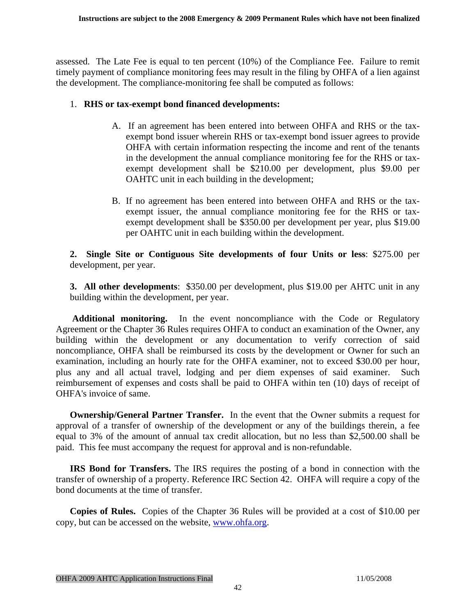assessed. The Late Fee is equal to ten percent (10%) of the Compliance Fee. Failure to remit timely payment of compliance monitoring fees may result in the filing by OHFA of a lien against the development. The compliance-monitoring fee shall be computed as follows:

#### 1. **RHS or tax-exempt bond financed developments:**

- A. If an agreement has been entered into between OHFA and RHS or the taxexempt bond issuer wherein RHS or tax-exempt bond issuer agrees to provide OHFA with certain information respecting the income and rent of the tenants in the development the annual compliance monitoring fee for the RHS or taxexempt development shall be \$210.00 per development, plus \$9.00 per OAHTC unit in each building in the development;
- B. If no agreement has been entered into between OHFA and RHS or the taxexempt issuer, the annual compliance monitoring fee for the RHS or taxexempt development shall be \$350.00 per development per year, plus \$19.00 per OAHTC unit in each building within the development.

**2. Single Site or Contiguous Site developments of four Units or less**: \$275.00 per development, per year.

**3. All other developments**: \$350.00 per development, plus \$19.00 per AHTC unit in any building within the development, per year.

 **Additional monitoring.** In the event noncompliance with the Code or Regulatory Agreement or the Chapter 36 Rules requires OHFA to conduct an examination of the Owner, any building within the development or any documentation to verify correction of said noncompliance, OHFA shall be reimbursed its costs by the development or Owner for such an examination, including an hourly rate for the OHFA examiner, not to exceed \$30.00 per hour, plus any and all actual travel, lodging and per diem expenses of said examiner. Such reimbursement of expenses and costs shall be paid to OHFA within ten (10) days of receipt of OHFA's invoice of same.

**Ownership/General Partner Transfer.** In the event that the Owner submits a request for approval of a transfer of ownership of the development or any of the buildings therein, a fee equal to 3% of the amount of annual tax credit allocation, but no less than \$2,500.00 shall be paid. This fee must accompany the request for approval and is non-refundable.

**IRS Bond for Transfers.** The IRS requires the posting of a bond in connection with the transfer of ownership of a property. Reference IRC Section 42. OHFA will require a copy of the bond documents at the time of transfer.

**Copies of Rules.** Copies of the Chapter 36 Rules will be provided at a cost of \$10.00 per copy, but can be accessed on the website, [www.ohfa.org](http://www.ohfa.org/).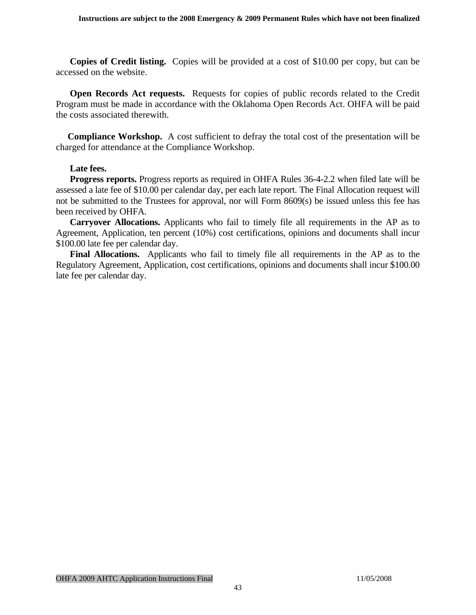**Copies of Credit listing.** Copies will be provided at a cost of \$10.00 per copy, but can be accessed on the website.

 **Open Records Act requests.** Requests for copies of public records related to the Credit Program must be made in accordance with the Oklahoma Open Records Act. OHFA will be paid the costs associated therewith.

**Compliance Workshop.** A cost sufficient to defray the total cost of the presentation will be charged for attendance at the Compliance Workshop.

#### **Late fees.**

 **Progress reports.** Progress reports as required in OHFA Rules 36-4-2.2 when filed late will be assessed a late fee of \$10.00 per calendar day, per each late report. The Final Allocation request will not be submitted to the Trustees for approval, nor will Form 8609(s) be issued unless this fee has been received by OHFA.

**Carryover Allocations.** Applicants who fail to timely file all requirements in the AP as to Agreement, Application, ten percent (10%) cost certifications, opinions and documents shall incur \$100.00 late fee per calendar day.

 **Final Allocations.** Applicants who fail to timely file all requirements in the AP as to the Regulatory Agreement, Application, cost certifications, opinions and documents shall incur \$100.00 late fee per calendar day.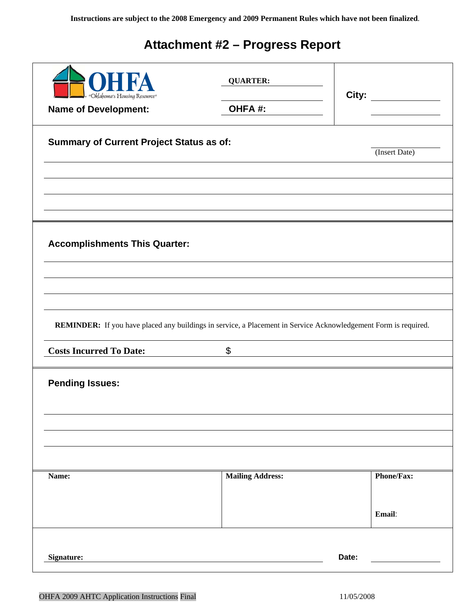# **Attachment #2 – Progress Report**

<span id="page-43-0"></span>

|                                                                                                                 | <b>QUARTER:</b>         | City:                        |
|-----------------------------------------------------------------------------------------------------------------|-------------------------|------------------------------|
| "Oklahoma's Housing Resource"<br><b>Name of Development:</b>                                                    | OHFA#:                  | <u>and a strong starting</u> |
| <b>Summary of Current Project Status as of:</b>                                                                 |                         | (Insert Date)                |
|                                                                                                                 |                         |                              |
| <b>Accomplishments This Quarter:</b>                                                                            |                         |                              |
|                                                                                                                 |                         |                              |
| REMINDER: If you have placed any buildings in service, a Placement in Service Acknowledgement Form is required. |                         |                              |
| <b>Costs Incurred To Date:</b>                                                                                  | $\boldsymbol{\theta}$   |                              |
| <b>Pending Issues:</b>                                                                                          |                         |                              |
|                                                                                                                 |                         |                              |
| Name:                                                                                                           | <b>Mailing Address:</b> | <b>Phone/Fax:</b>            |
|                                                                                                                 |                         | Email:                       |
| Signature:                                                                                                      |                         | Date:                        |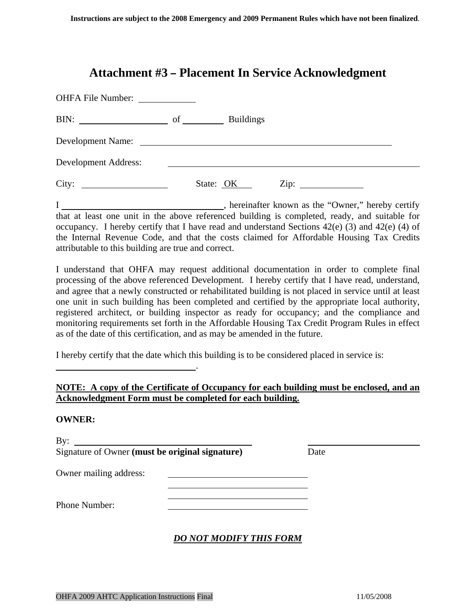## **Attachment #3 – Placement In Service Acknowledgment**

<span id="page-44-0"></span>

| BIN: $\qquad \qquad$ of $\qquad \qquad$                                                                                          |  | <b>Buildings</b> |  |  |
|----------------------------------------------------------------------------------------------------------------------------------|--|------------------|--|--|
| Development Name:                                                                                                                |  |                  |  |  |
| <b>Development Address:</b>                                                                                                      |  |                  |  |  |
| City:<br><u> The Communication of the Communication of the Communication of the Communication of the Communication of the Co</u> |  | State: OK        |  |  |

I , hereinafter known as the "Owner," hereby certify that at least one unit in the above referenced building is completed, ready, and suitable for occupancy. I hereby certify that I have read and understand Sections 42(e) (3) and 42(e) (4) of the Internal Revenue Code, and that the costs claimed for Affordable Housing Tax Credits attributable to this building are true and correct.

I understand that OHFA may request additional documentation in order to complete final processing of the above referenced Development. I hereby certify that I have read, understand, and agree that a newly constructed or rehabilitated building is not placed in service until at least one unit in such building has been completed and certified by the appropriate local authority, registered architect, or building inspector as ready for occupancy; and the compliance and monitoring requirements set forth in the Affordable Housing Tax Credit Program Rules in effect as of the date of this certification, and as may be amended in the future.

I hereby certify that the date which this building is to be considered placed in service is:

#### **NOTE: A copy of the Certificate of Occupancy for each building must be enclosed, and an Acknowledgment Form must be completed for each building.**

#### **OWNER:**

| By:<br>Signature of Owner (must be original signature) | Date |  |
|--------------------------------------------------------|------|--|
| Owner mailing address:                                 |      |  |
| Phone Number:                                          |      |  |

#### *DO NOT MODIFY THIS FORM*

.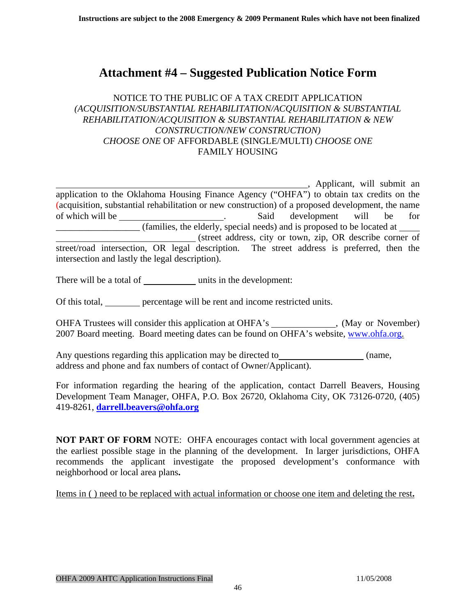## <span id="page-45-0"></span>**Attachment #4 – Suggested Publication Notice Form**

#### NOTICE TO THE PUBLIC OF A TAX CREDIT APPLICATION *(ACQUISITION/SUBSTANTIAL REHABILITATION/ACQUISITION & SUBSTANTIAL REHABILITATION/ACQUISITION & SUBSTANTIAL REHABILITATION & NEW CONSTRUCTION/NEW CONSTRUCTION) CHOOSE ONE* OF AFFORDABLE (SINGLE/MULTI) *CHOOSE ONE* FAMILY HOUSING

 , Applicant, will submit an application to the Oklahoma Housing Finance Agency ("OHFA") to obtain tax credits on the (acquisition, substantial rehabilitation or new construction) of a proposed development, the name of which will be . Said development will be for \_\_\_\_\_\_\_\_\_\_\_\_\_\_\_\_\_\_ (families, the elderly, special needs) and is proposed to be located at (street address, city or town, zip, OR describe corner of street/road intersection, OR legal description. The street address is preferred, then the intersection and lastly the legal description).

There will be a total of units in the development:

Of this total, percentage will be rent and income restricted units.

OHFA Trustees will consider this application at OHFA's \_\_\_\_\_\_\_\_\_\_\_\_\_, (May or November) 2007 Board meeting. Board meeting dates can be found on OHFA's website, [www.ohfa.org.](http://www.ohfa.org/)

Any questions regarding this application may be directed to (name, address and phone and fax numbers of contact of Owner/Applicant).

For information regarding the hearing of the application, contact Darrell Beavers, Housing Development Team Manager, OHFA, P.O. Box 26720, Oklahoma City, OK 73126-0720, (405) 419-8261, **[darrell.beavers@ohfa.org](mailto:darrell.beavers@ohfa.org)**

**NOT PART OF FORM** NOTE: OHFA encourages contact with local government agencies at the earliest possible stage in the planning of the development. In larger jurisdictions, OHFA recommends the applicant investigate the proposed development's conformance with neighborhood or local area plans**.** 

Items in ( ) need to be replaced with actual information or choose one item and deleting the rest**.**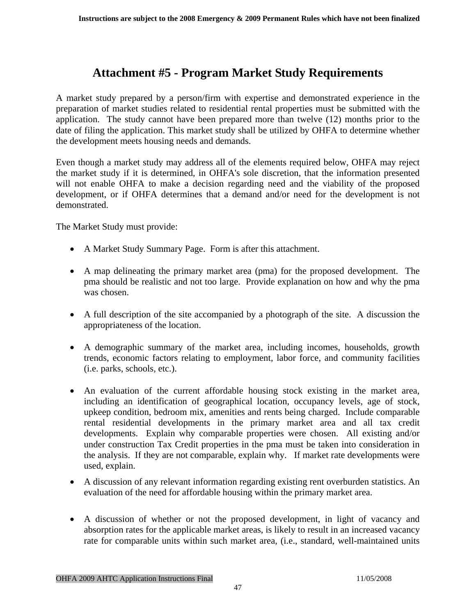## **Attachment #5 - Program Market Study Requirements**

<span id="page-46-0"></span>A market study prepared by a person/firm with expertise and demonstrated experience in the preparation of market studies related to residential rental properties must be submitted with the application. The study cannot have been prepared more than twelve (12) months prior to the date of filing the application. This market study shall be utilized by OHFA to determine whether the development meets housing needs and demands.

Even though a market study may address all of the elements required below, OHFA may reject the market study if it is determined, in OHFA's sole discretion, that the information presented will not enable OHFA to make a decision regarding need and the viability of the proposed development, or if OHFA determines that a demand and/or need for the development is not demonstrated.

The Market Study must provide:

- A Market Study Summary Page. Form is after this attachment.
- A map delineating the primary market area (pma) for the proposed development. The pma should be realistic and not too large. Provide explanation on how and why the pma was chosen.
- A full description of the site accompanied by a photograph of the site. A discussion the appropriateness of the location.
- A demographic summary of the market area, including incomes, households, growth trends, economic factors relating to employment, labor force, and community facilities (i.e. parks, schools, etc.).
- An evaluation of the current affordable housing stock existing in the market area, including an identification of geographical location, occupancy levels, age of stock, upkeep condition, bedroom mix, amenities and rents being charged. Include comparable rental residential developments in the primary market area and all tax credit developments. Explain why comparable properties were chosen. All existing and/or under construction Tax Credit properties in the pma must be taken into consideration in the analysis. If they are not comparable, explain why. If market rate developments were used, explain.
- A discussion of any relevant information regarding existing rent overburden statistics. An evaluation of the need for affordable housing within the primary market area.
- A discussion of whether or not the proposed development, in light of vacancy and absorption rates for the applicable market areas, is likely to result in an increased vacancy rate for comparable units within such market area, (i.e., standard, well-maintained units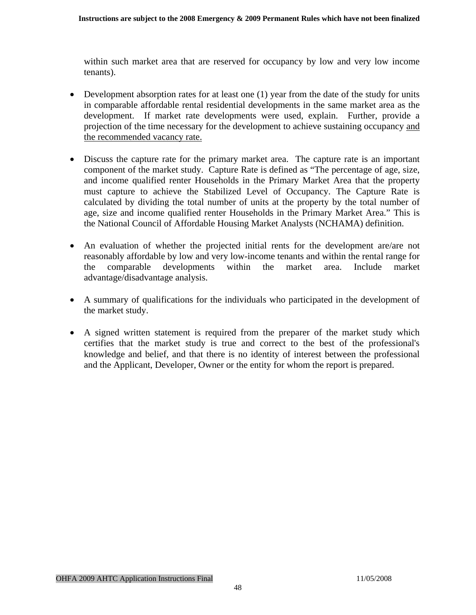within such market area that are reserved for occupancy by low and very low income tenants).

- Development absorption rates for at least one  $(1)$  year from the date of the study for units in comparable affordable rental residential developments in the same market area as the development. If market rate developments were used, explain. Further, provide a projection of the time necessary for the development to achieve sustaining occupancy and the recommended vacancy rate.
- Discuss the capture rate for the primary market area. The capture rate is an important component of the market study. Capture Rate is defined as "The percentage of age, size, and income qualified renter Households in the Primary Market Area that the property must capture to achieve the Stabilized Level of Occupancy. The Capture Rate is calculated by dividing the total number of units at the property by the total number of age, size and income qualified renter Households in the Primary Market Area." This is the National Council of Affordable Housing Market Analysts (NCHAMA) definition.
- An evaluation of whether the projected initial rents for the development are/are not reasonably affordable by low and very low-income tenants and within the rental range for the comparable developments within the market area. Include market advantage/disadvantage analysis.
- A summary of qualifications for the individuals who participated in the development of the market study.
- A signed written statement is required from the preparer of the market study which certifies that the market study is true and correct to the best of the professional's knowledge and belief, and that there is no identity of interest between the professional and the Applicant, Developer, Owner or the entity for whom the report is prepared.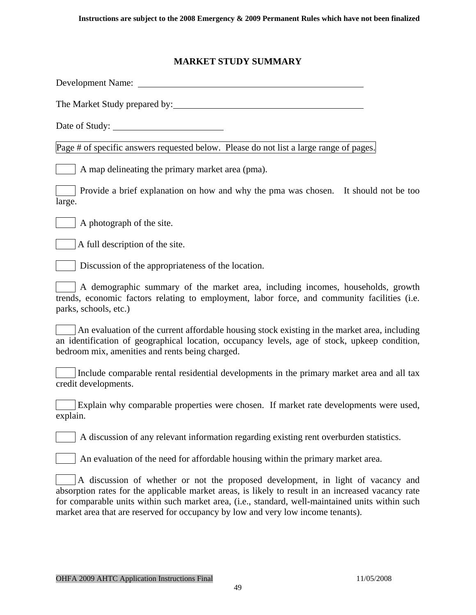#### **MARKET STUDY SUMMARY**

Development Name: The Market Study prepared by: Date of Study: Page # of specific answers requested below. Please do not list a large range of pages. A map delineating the primary market area (pma). **Provide a brief explanation on how and why the pma was chosen. It should not be too** large. A photograph of the site. A full description of the site. **Discussion of the appropriateness of the location.** A demographic summary of the market area, including incomes, households, growth trends, economic factors relating to employment, labor force, and community facilities (i.e. parks, schools, etc.) An evaluation of the current affordable housing stock existing in the market area, including an identification of geographical location, occupancy levels, age of stock, upkeep condition, bedroom mix, amenities and rents being charged. Include comparable rental residential developments in the primary market area and all tax credit developments. **Explain why comparable properties were chosen. If market rate developments were used,** explain. A discussion of any relevant information regarding existing rent overburden statistics. An evaluation of the need for affordable housing within the primary market area. A discussion of whether or not the proposed development, in light of vacancy and absorption rates for the applicable market areas, is likely to result in an increased vacancy rate for comparable units within such market area, (i.e., standard, well-maintained units within such market area that are reserved for occupancy by low and very low income tenants).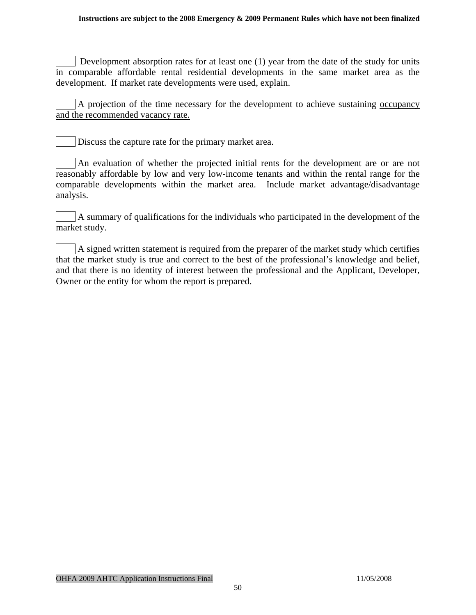#### **Instructions are subject to the 2008 Emergency & 2009 Permanent Rules which have not been finalized**

Development absorption rates for at least one (1) year from the date of the study for units in comparable affordable rental residential developments in the same market area as the development. If market rate developments were used, explain.

A projection of the time necessary for the development to achieve sustaining occupancy and the recommended vacancy rate.

Discuss the capture rate for the primary market area.

An evaluation of whether the projected initial rents for the development are or are not reasonably affordable by low and very low-income tenants and within the rental range for the comparable developments within the market area. Include market advantage/disadvantage analysis.

A summary of qualifications for the individuals who participated in the development of the market study.

A signed written statement is required from the preparer of the market study which certifies that the market study is true and correct to the best of the professional's knowledge and belief, and that there is no identity of interest between the professional and the Applicant, Developer, Owner or the entity for whom the report is prepared.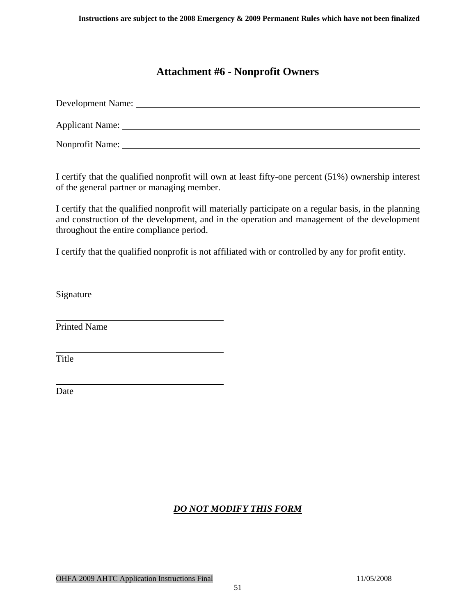## **Attachment #6 - Nonprofit Owners**

<span id="page-50-0"></span>

| Development Name: |
|-------------------|
| Applicant Name:   |
| Nonprofit Name:   |

I certify that the qualified nonprofit will own at least fifty-one percent (51%) ownership interest of the general partner or managing member.

I certify that the qualified nonprofit will materially participate on a regular basis, in the planning and construction of the development, and in the operation and management of the development throughout the entire compliance period.

I certify that the qualified nonprofit is not affiliated with or controlled by any for profit entity.

Signature

 $\overline{a}$ 

 $\overline{a}$ 

 $\overline{a}$ 

 $\overline{a}$ 

Printed Name

Title

Date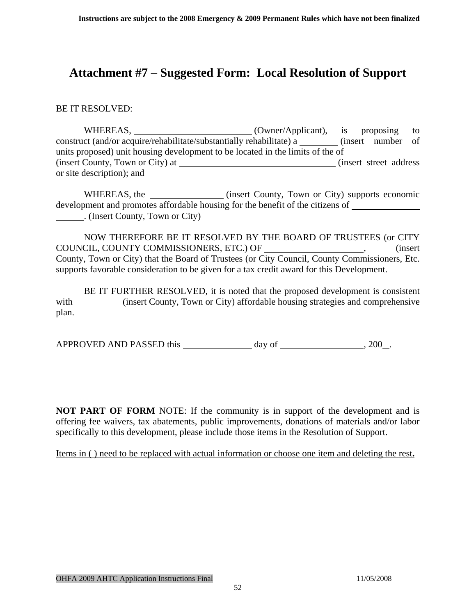## <span id="page-51-0"></span>**Attachment #7 – Suggested Form: Local Resolution of Support**

BE IT RESOLVED:

WHEREAS, \_\_\_\_\_\_\_\_\_\_\_\_\_\_\_\_\_\_\_\_\_\_\_\_(Owner/Applicant), is proposing to construct (and/or acquire/rehabilitate/substantially rehabilitate) a \_\_\_\_\_\_\_\_ (insert number of units proposed) unit housing development to be located in the limits of the of (insert County, Town or City) at (insert street address) or site description); and

WHEREAS, the (insert County, Town or City) supports economic development and promotes affordable housing for the benefit of the citizens of . (Insert County, Town or City)

NOW THEREFORE BE IT RESOLVED BY THE BOARD OF TRUSTEES (or CITY COUNCIL, COUNTY COMMISSIONERS, ETC.) OF \_\_\_\_\_\_\_\_\_\_\_\_\_\_\_\_\_\_\_\_\_, (insert County, Town or City) that the Board of Trustees (or City Council, County Commissioners, Etc. supports favorable consideration to be given for a tax credit award for this Development.

BE IT FURTHER RESOLVED, it is noted that the proposed development is consistent with (insert County, Town or City) affordable housing strategies and comprehensive plan.

APPROVED AND PASSED this day of  $\frac{1}{200}$ , 200 .

**NOT PART OF FORM** NOTE: If the community is in support of the development and is offering fee waivers, tax abatements, public improvements, donations of materials and/or labor specifically to this development, please include those items in the Resolution of Support.

Items in ( ) need to be replaced with actual information or choose one item and deleting the rest**.**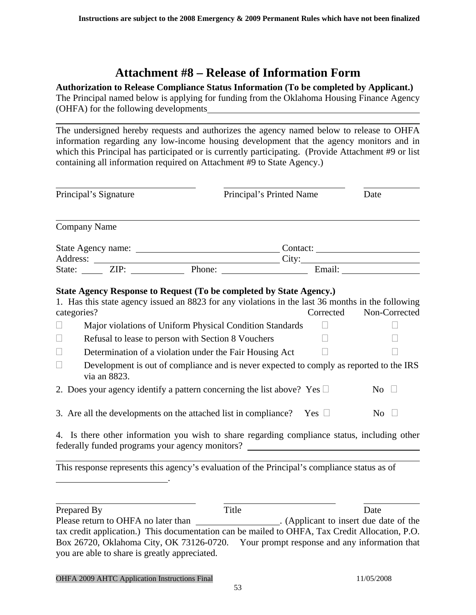## **Attachment #8 – Release of Information Form**

#### <span id="page-52-0"></span>**Authorization to Release Compliance Status Information (To be completed by Applicant.)**

The Principal named below is applying for funding from the Oklahoma Housing Finance Agency (OHFA) for the following developments

The undersigned hereby requests and authorizes the agency named below to release to OHFA information regarding any low-income housing development that the agency monitors and in which this Principal has participated or is currently participating. (Provide Attachment #9 or list containing all information required on Attachment #9 to State Agency.)

| Principal's Signature                                                    |                                                                                                                                                                                                                                                     |  | Principal's Printed Name | Date      |                  |
|--------------------------------------------------------------------------|-----------------------------------------------------------------------------------------------------------------------------------------------------------------------------------------------------------------------------------------------------|--|--------------------------|-----------|------------------|
|                                                                          | <b>Company Name</b>                                                                                                                                                                                                                                 |  |                          |           |                  |
|                                                                          |                                                                                                                                                                                                                                                     |  |                          |           |                  |
|                                                                          |                                                                                                                                                                                                                                                     |  |                          |           |                  |
|                                                                          | Address: City: City: City: City: City: City: City: City: City: City: City: City: City: City: City: City: City: City: City: City: City: City: City: City: City: City: City: City: City: City: City: City: City: City: City: Cit                      |  |                          |           |                  |
| $\Box$                                                                   | State Agency Response to Request (To be completed by State Agency.)<br>1. Has this state agency issued an 8823 for any violations in the last 36 months in the following<br>categories?<br>Major violations of Uniform Physical Condition Standards |  |                          | Corrected | Non-Corrected    |
| $\Box$                                                                   | Refusal to lease to person with Section 8 Vouchers                                                                                                                                                                                                  |  |                          |           |                  |
| $\Box$<br>Determination of a violation under the Fair Housing Act $\Box$ |                                                                                                                                                                                                                                                     |  |                          |           |                  |
| $\Box$                                                                   | Development is out of compliance and is never expected to comply as reported to the IRS<br>via an 8823.                                                                                                                                             |  |                          |           |                  |
|                                                                          | 2. Does your agency identify a pattern concerning the list above? Yes $\Box$                                                                                                                                                                        |  |                          |           | $\overline{N_0}$ |
|                                                                          | 3. Are all the developments on the attached list in compliance? Yes $\Box$                                                                                                                                                                          |  |                          |           | No $\Box$        |
|                                                                          | 4. Is there other information you wish to share regarding compliance status, including other<br>federally funded programs your agency monitors?                                                                                                     |  |                          |           |                  |

This response represents this agency's evaluation of the Principal's compliance status as of

Prepared By Title Date Please return to OHFA no later than \_\_\_\_\_\_\_\_\_\_\_\_\_\_\_\_. (Applicant to insert due date of the tax credit application.) This documentation can be mailed to OHFA, Tax Credit Allocation, P.O. Box 26720, Oklahoma City, OK 73126-0720. Your prompt response and any information that you are able to share is greatly appreciated.

.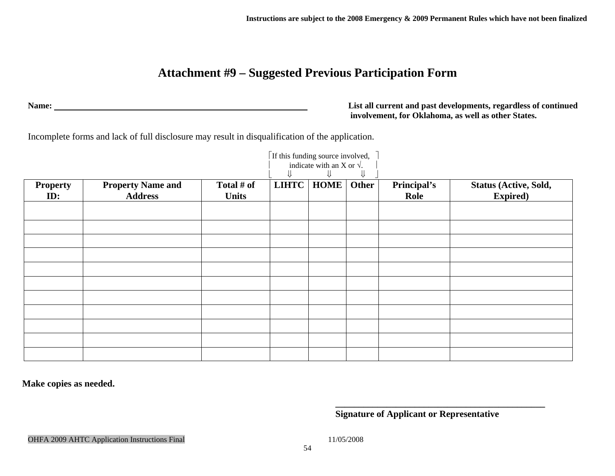## **Attachment #9 – Suggested Previous Participation Form**

**Name: List all current and past developments, regardless of continued involvement, for Oklahoma, as well as other States.** 

Incomplete forms and lack of full disclosure may result in disqualification of the application.

|                        |                                            | If this funding source involved,<br>indicate with an X or $\sqrt{ }$ .<br>⇓ |              |             |       |                     |                                                  |
|------------------------|--------------------------------------------|-----------------------------------------------------------------------------|--------------|-------------|-------|---------------------|--------------------------------------------------|
| <b>Property</b><br>ID: | <b>Property Name and</b><br><b>Address</b> | Total # of<br><b>Units</b>                                                  | <b>LIHTC</b> | <b>HOME</b> | Other | Principal's<br>Role | <b>Status (Active, Sold,</b><br><b>Expired</b> ) |
|                        |                                            |                                                                             |              |             |       |                     |                                                  |
|                        |                                            |                                                                             |              |             |       |                     |                                                  |
|                        |                                            |                                                                             |              |             |       |                     |                                                  |
|                        |                                            |                                                                             |              |             |       |                     |                                                  |
|                        |                                            |                                                                             |              |             |       |                     |                                                  |
|                        |                                            |                                                                             |              |             |       |                     |                                                  |
|                        |                                            |                                                                             |              |             |       |                     |                                                  |
|                        |                                            |                                                                             |              |             |       |                     |                                                  |
|                        |                                            |                                                                             |              |             |       |                     |                                                  |
|                        |                                            |                                                                             |              |             |       |                     |                                                  |

**Make copies as needed.** 

**\_\_\_\_\_\_\_\_\_\_\_\_\_\_\_\_\_\_\_\_\_\_\_\_\_\_\_\_\_\_\_\_\_\_\_\_\_\_\_\_\_\_\_\_\_ Signature of Applicant or Representative** 

<span id="page-53-0"></span>OHFA 2009 AHTC Application Instructions Final 11/05/2008 11/05/2008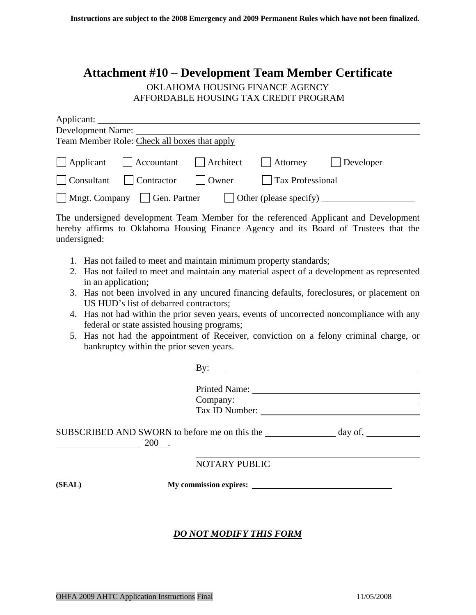## <span id="page-54-0"></span>**Attachment #10 – Development Team Member Certificate**

#### OKLAHOMA HOUSING FINANCE AGENCY AFFORDABLE HOUSING TAX CREDIT PROGRAM

| Applicant:                                                                       |                                |               |                  |                   |  |  |  |  |  |
|----------------------------------------------------------------------------------|--------------------------------|---------------|------------------|-------------------|--|--|--|--|--|
| Development Name:                                                                |                                |               |                  |                   |  |  |  |  |  |
| Team Member Role: Check all boxes that apply                                     |                                |               |                  |                   |  |  |  |  |  |
|                                                                                  | Applicant Accountant Architect |               | $\vert$ Attorney | $\vert$ Developer |  |  |  |  |  |
|                                                                                  | Consultant     Contractor      | $\vert$ Owner | Tax Professional |                   |  |  |  |  |  |
| $\Box$ Mngt. Company $\Box$ Gen. Partner<br>$\Box$ Other (please specify) $\Box$ |                                |               |                  |                   |  |  |  |  |  |

The undersigned development Team Member for the referenced Applicant and Development hereby affirms to Oklahoma Housing Finance Agency and its Board of Trustees that the undersigned:

- 1. Has not failed to meet and maintain minimum property standards;
- 2. Has not failed to meet and maintain any material aspect of a development as represented in an application;
- 3. Has not been involved in any uncured financing defaults, foreclosures, or placement on US HUD's list of debarred contractors;
- 4. Has not had within the prior seven years, events of uncorrected noncompliance with any federal or state assisted housing programs;
- 5. Has not had the appointment of Receiver, conviction on a felony criminal charge, or bankruptcy within the prior seven years.

|         | By:                                           |                   |  |
|---------|-----------------------------------------------|-------------------|--|
|         | Tax ID Number:                                |                   |  |
| $200$ . | SUBSCRIBED AND SWORN to before me on this the | $day \text{ of},$ |  |
|         | NOTARY PUBLIC                                 |                   |  |
| (SEAL)  | My commission expires:                        |                   |  |

#### *DO NOT MODIFY THIS FORM*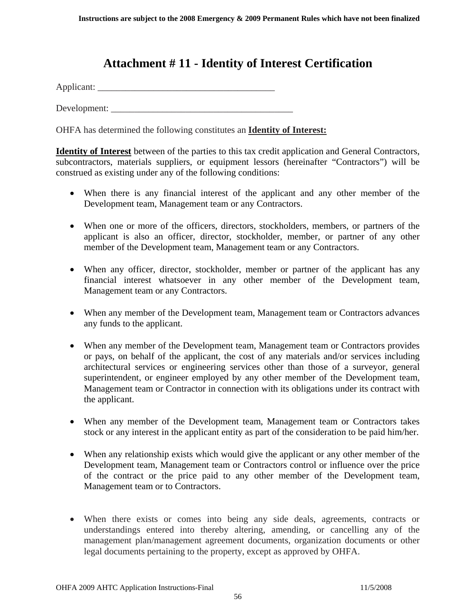## **Attachment # 11 - Identity of Interest Certification**

<span id="page-55-0"></span>Applicant: \_\_\_\_\_\_\_\_\_\_\_\_\_\_\_\_\_\_\_\_\_\_\_\_\_\_\_\_\_\_\_\_\_\_\_\_\_\_

 $Develoment:$ 

OHFA has determined the following constitutes an **Identity of Interest:**

**Identity of Interest** between of the parties to this tax credit application and General Contractors, subcontractors, materials suppliers, or equipment lessors (hereinafter "Contractors") will be construed as existing under any of the following conditions:

- When there is any financial interest of the applicant and any other member of the Development team, Management team or any Contractors.
- When one or more of the officers, directors, stockholders, members, or partners of the applicant is also an officer, director, stockholder, member, or partner of any other member of the Development team, Management team or any Contractors.
- When any officer, director, stockholder, member or partner of the applicant has any financial interest whatsoever in any other member of the Development team, Management team or any Contractors.
- When any member of the Development team, Management team or Contractors advances any funds to the applicant.
- When any member of the Development team, Management team or Contractors provides or pays, on behalf of the applicant, the cost of any materials and/or services including architectural services or engineering services other than those of a surveyor, general superintendent, or engineer employed by any other member of the Development team, Management team or Contractor in connection with its obligations under its contract with the applicant.
- When any member of the Development team, Management team or Contractors takes stock or any interest in the applicant entity as part of the consideration to be paid him/her.
- When any relationship exists which would give the applicant or any other member of the Development team, Management team or Contractors control or influence over the price of the contract or the price paid to any other member of the Development team, Management team or to Contractors.
- When there exists or comes into being any side deals, agreements, contracts or understandings entered into thereby altering, amending, or cancelling any of the management plan/management agreement documents, organization documents or other legal documents pertaining to the property, except as approved by OHFA.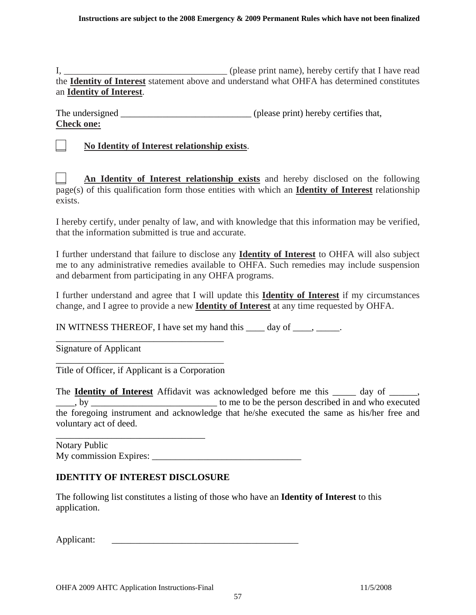I*,* \_\_\_\_\_\_\_\_\_\_\_\_\_\_\_\_\_\_\_\_\_\_\_\_\_\_\_\_\_\_\_\_\_\_\_ (please print name), hereby certify that I have read the **Identity of Interest** statement above and understand what OHFA has determined constitutes an **Identity of Interest**.

| The undersigned   | (please print) hereby certifies that, |
|-------------------|---------------------------------------|
| <b>Check one:</b> |                                       |

#### \_\_ **No Identity of Interest relationship exists**.

An Identity of Interest relationship exists and hereby disclosed on the following page(s) of this qualification form those entities with which an **Identity of Interest** relationship exists.

I hereby certify, under penalty of law, and with knowledge that this information may be verified, that the information submitted is true and accurate.

I further understand that failure to disclose any **Identity of Interest** to OHFA will also subject me to any administrative remedies available to OHFA. Such remedies may include suspension and debarment from participating in any OHFA programs.

I further understand and agree that I will update this **Identity of Interest** if my circumstances change, and I agree to provide a new **Identity of Interest** at any time requested by OHFA.

IN WITNESS THEREOF, I have set my hand this day of  $\Box$ .

Signature of Applicant

\_\_\_\_\_\_\_\_\_\_\_\_\_\_\_\_\_\_\_\_\_\_\_\_\_\_\_\_\_\_\_\_\_\_\_\_ Title of Officer, if Applicant is a Corporation

\_\_\_\_\_\_\_\_\_\_\_\_\_\_\_\_\_\_\_\_\_\_\_\_\_\_\_\_\_\_\_\_\_\_\_\_

The **Identity of Interest** Affidavit was acknowledged before me this \_\_\_\_\_ day of \_\_\_\_\_\_, \_\_\_\_, by \_\_\_\_\_\_\_\_\_\_\_\_\_\_\_\_\_\_\_\_\_\_\_\_\_\_\_ to me to be the person described in and who executed the foregoing instrument and acknowledge that he/she executed the same as his/her free and voluntary act of deed.

Notary Public My commission Expires: \_\_\_\_\_\_\_\_\_\_\_\_\_\_\_\_\_\_\_\_\_\_\_\_\_\_\_\_\_\_\_\_

#### **IDENTITY OF INTEREST DISCLOSURE**

\_\_\_\_\_\_\_\_\_\_\_\_\_\_\_\_\_\_\_\_\_\_\_\_\_\_\_\_\_\_\_\_

The following list constitutes a listing of those who have an **Identity of Interest** to this application.

Applicant: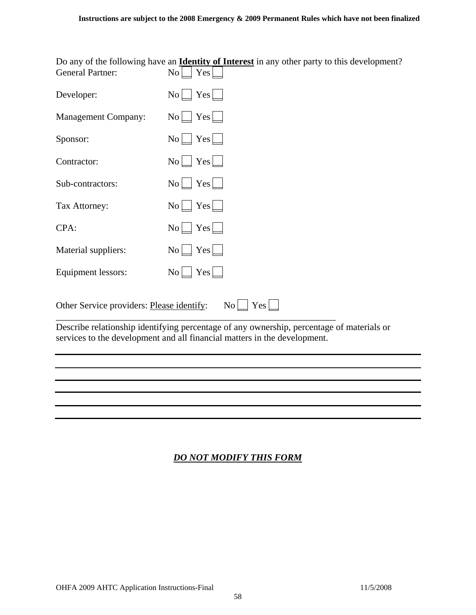Do any of the following have an **Identity of Interest** in any other party to this development? General Partner:  $N_0 \bigcap Y_{\text{es}}$ 

| Developer:                                                                                                                                                          | $\text{No}$ $\text{Yes}$ $\blacksquare$ |  |
|---------------------------------------------------------------------------------------------------------------------------------------------------------------------|-----------------------------------------|--|
| <b>Management Company:</b>                                                                                                                                          | $No \bigsqcup Yes \bigsqcup$            |  |
| Sponsor:                                                                                                                                                            | $No$ $Yes$ $\Box$                       |  |
| Contractor:                                                                                                                                                         | $No$ $Yes$ $\Box$                       |  |
| Sub-contractors:                                                                                                                                                    | $No \perp Yes \perp$                    |  |
| Tax Attorney:                                                                                                                                                       | $No$ $Yes$ $\Box$                       |  |
| CPA:                                                                                                                                                                | $No \bigsqcup Yes \bigsqcup$            |  |
| Material suppliers:                                                                                                                                                 | $No \perp Yes \perp$                    |  |
| Equipment lessors:                                                                                                                                                  | $No \perp Yes \perp$                    |  |
| $\text{No}$ $\text{Yes}$ $\blacksquare$<br>Other Service providers: Please identify:<br>Describe relationative identifying noncontage of our expensative noncontage |                                         |  |

Describe relationship identifying percentage of any ownership, percentage of materials or services to the development and all financial matters in the development.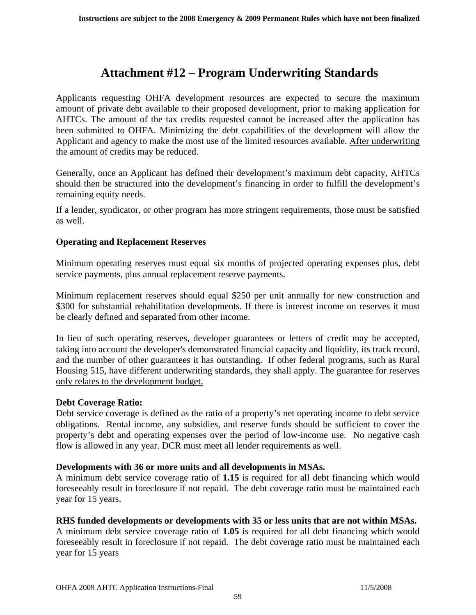## **Attachment #12 – Program Underwriting Standards**

<span id="page-58-0"></span>Applicants requesting OHFA development resources are expected to secure the maximum amount of private debt available to their proposed development, prior to making application for AHTCs. The amount of the tax credits requested cannot be increased after the application has been submitted to OHFA. Minimizing the debt capabilities of the development will allow the Applicant and agency to make the most use of the limited resources available. After underwriting the amount of credits may be reduced.

Generally, once an Applicant has defined their development's maximum debt capacity, AHTCs should then be structured into the development's financing in order to fulfill the development's remaining equity needs.

If a lender, syndicator, or other program has more stringent requirements, those must be satisfied as well.

#### **Operating and Replacement Reserves**

Minimum operating reserves must equal six months of projected operating expenses plus, debt service payments, plus annual replacement reserve payments.

Minimum replacement reserves should equal \$250 per unit annually for new construction and \$300 for substantial rehabilitation developments. If there is interest income on reserves it must be clearly defined and separated from other income.

In lieu of such operating reserves, developer guarantees or letters of credit may be accepted, taking into account the developer's demonstrated financial capacity and liquidity, its track record, and the number of other guarantees it has outstanding. If other federal programs, such as Rural Housing 515, have different underwriting standards, they shall apply. The guarantee for reserves only relates to the development budget.

#### **Debt Coverage Ratio:**

Debt service coverage is defined as the ratio of a property's net operating income to debt service obligations. Rental income, any subsidies, and reserve funds should be sufficient to cover the property's debt and operating expenses over the period of low-income use. No negative cash flow is allowed in any year. DCR must meet all lender requirements as well.

#### **Developments with 36 or more units and all developments in MSAs.**

A minimum debt service coverage ratio of **1.15** is required for all debt financing which would foreseeably result in foreclosure if not repaid. The debt coverage ratio must be maintained each year for 15 years.

#### **RHS funded developments or developments with 35 or less units that are not within MSAs.**

A minimum debt service coverage ratio of **1.05** is required for all debt financing which would foreseeably result in foreclosure if not repaid. The debt coverage ratio must be maintained each year for 15 years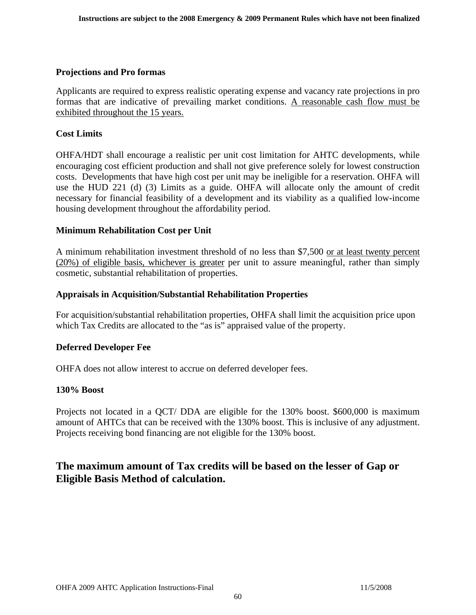#### **Projections and Pro formas**

Applicants are required to express realistic operating expense and vacancy rate projections in pro formas that are indicative of prevailing market conditions. A reasonable cash flow must be exhibited throughout the 15 years.

#### **Cost Limits**

OHFA/HDT shall encourage a realistic per unit cost limitation for AHTC developments, while encouraging cost efficient production and shall not give preference solely for lowest construction costs. Developments that have high cost per unit may be ineligible for a reservation. OHFA will use the HUD 221 (d) (3) Limits as a guide. OHFA will allocate only the amount of credit necessary for financial feasibility of a development and its viability as a qualified low-income housing development throughout the affordability period.

#### **Minimum Rehabilitation Cost per Unit**

A minimum rehabilitation investment threshold of no less than \$7,500 or at least twenty percent (20%) of eligible basis, whichever is greater per unit to assure meaningful, rather than simply cosmetic, substantial rehabilitation of properties.

#### **Appraisals in Acquisition/Substantial Rehabilitation Properties**

For acquisition/substantial rehabilitation properties, OHFA shall limit the acquisition price upon which Tax Credits are allocated to the "as is" appraised value of the property.

#### **Deferred Developer Fee**

OHFA does not allow interest to accrue on deferred developer fees.

#### **130% Boost**

Projects not located in a QCT/ DDA are eligible for the 130% boost. \$600,000 is maximum amount of AHTCs that can be received with the 130% boost. This is inclusive of any adjustment. Projects receiving bond financing are not eligible for the 130% boost.

## **The maximum amount of Tax credits will be based on the lesser of Gap or Eligible Basis Method of calculation.**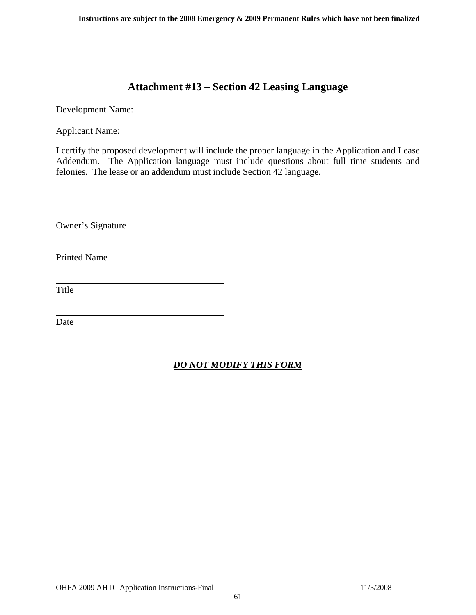## **Attachment #13 – Section 42 Leasing Language**

<span id="page-60-0"></span>Development Name:

Applicant Name: 1986. The contract of the contract of the contract of the contract of the contract of the contract of the contract of the contract of the contract of the contract of the contract of the contract of the cont

I certify the proposed development will include the proper language in the Application and Lease Addendum. The Application language must include questions about full time students and felonies. The lease or an addendum must include Section 42 language.

Owner's Signature

Printed Name

Title

 $\overline{a}$ 

 $\overline{a}$ 

 $\overline{a}$ 

 $\overline{a}$ 

Date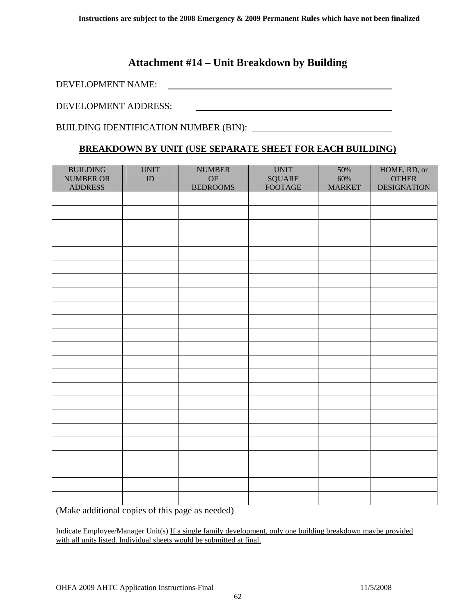## **Attachment #14 – Unit Breakdown by Building**

<span id="page-61-0"></span>DEVELOPMENT NAME:

DEVELOPMENT ADDRESS:

BUILDING IDENTIFICATION NUMBER (BIN):

#### **BREAKDOWN BY UNIT (USE SEPARATE SHEET FOR EACH BUILDING)**

| <b>BUILDING</b><br><b>NUMBER OR</b><br><b>ADDRESS</b> | <b>UNIT</b><br>${\rm ID}$ | <b>NUMBER</b><br>OF<br><b>BEDROOMS</b> | <b>UNIT</b><br>$\operatorname{SQUARE}$<br><b>FOOTAGE</b> | 50%<br>60%<br><b>MARKET</b> | HOME, RD, or<br><b>OTHER</b><br><b>DESIGNATION</b> |
|-------------------------------------------------------|---------------------------|----------------------------------------|----------------------------------------------------------|-----------------------------|----------------------------------------------------|
|                                                       |                           |                                        |                                                          |                             |                                                    |
|                                                       |                           |                                        |                                                          |                             |                                                    |
|                                                       |                           |                                        |                                                          |                             |                                                    |
|                                                       |                           |                                        |                                                          |                             |                                                    |
|                                                       |                           |                                        |                                                          |                             |                                                    |
|                                                       |                           |                                        |                                                          |                             |                                                    |
|                                                       |                           |                                        |                                                          |                             |                                                    |
|                                                       |                           |                                        |                                                          |                             |                                                    |
|                                                       |                           |                                        |                                                          |                             |                                                    |
|                                                       |                           |                                        |                                                          |                             |                                                    |
|                                                       |                           |                                        |                                                          |                             |                                                    |
|                                                       |                           |                                        |                                                          |                             |                                                    |
|                                                       |                           |                                        |                                                          |                             |                                                    |
|                                                       |                           |                                        |                                                          |                             |                                                    |
|                                                       |                           |                                        |                                                          |                             |                                                    |
|                                                       |                           |                                        |                                                          |                             |                                                    |
|                                                       |                           |                                        |                                                          |                             |                                                    |
|                                                       |                           |                                        |                                                          |                             |                                                    |
|                                                       |                           |                                        |                                                          |                             |                                                    |
|                                                       |                           |                                        |                                                          |                             |                                                    |
|                                                       |                           |                                        |                                                          |                             |                                                    |
|                                                       |                           |                                        |                                                          |                             |                                                    |
|                                                       |                           |                                        |                                                          |                             |                                                    |

(Make additional copies of this page as needed)

Indicate Employee/Manager Unit(s) If a single family development, only one building breakdown maybe provided with all units listed. Individual sheets would be submitted at final.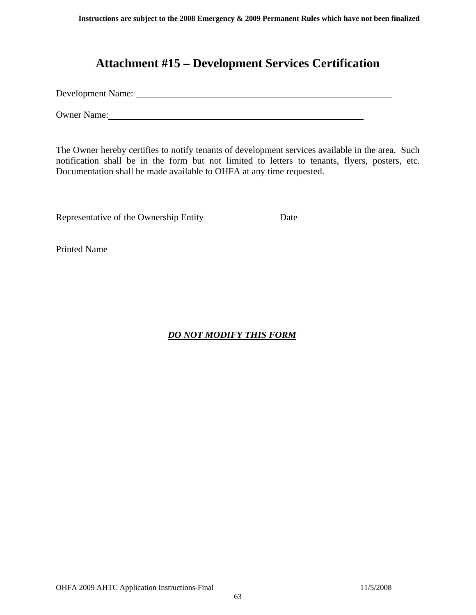## **Attachment #15 – Development Services Certification**

<span id="page-62-0"></span>Development Name:

Owner Name:

The Owner hereby certifies to notify tenants of development services available in the area. Such notification shall be in the form but not limited to letters to tenants, flyers, posters, etc. Documentation shall be made available to OHFA at any time requested.

Representative of the Ownership Entity Date

Printed Name

 $\overline{a}$ 

 $\overline{a}$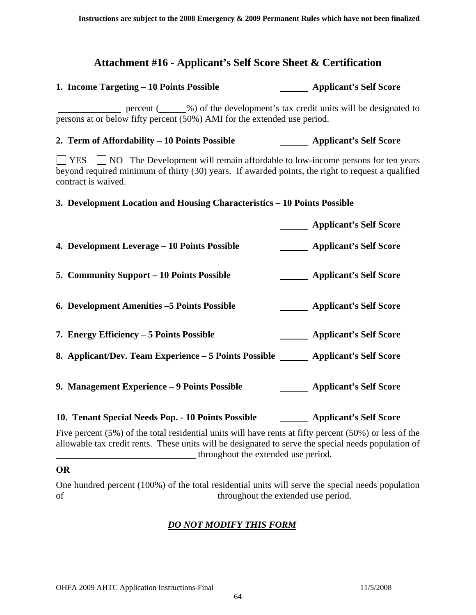## **Attachment #16 - Applicant's Self Score Sheet & Certification**

#### <span id="page-63-0"></span>1. Income Targeting – 10 Points Possible **Applicant's Self Score**

percent (
with the development's tax credit units will be designated to persons at or below fifty percent (50%) AMI for the extended use period.

2. Term of Affordability – 10 Points Possible **Applicant's Self Score** 

 $\Box$  YES  $\Box$  NO The Development will remain affordable to low-income persons for ten years beyond required minimum of thirty (30) years. If awarded points, the right to request a qualified contract is waived.

#### **3. Development Location and Housing Characteristics – 10 Points Possible**

 **Applicant's Self Score 4. Development Leverage – 10 Points Possible 4. Development Leverage – 10 Points Possible 4. Applicant's Self Score** 5. Community Support – 10 Points Possible **Applicant's Self Score 6. Development Amenities –5 Points Possible Applicant's Self Score** 7. Energy Efficiency – 5 Points Possible **Applicant's Self Score** 8. Applicant/Dev. Team Experience – 5 Points Possible **Applicant's Self Score 9. Management Experience – 9 Points Possible Applicant's Self Score** 10. Tenant Special Needs Pop. - 10 Points Possible **Applicant's Self Score** 

Five percent (5%) of the total residential units will have rents at fifty percent (50%) or less of the allowable tax credit rents. These units will be designated to serve the special needs population of **throughout the extended use period.** 

#### **OR**

One hundred percent (100%) of the total residential units will serve the special needs population of throughout the extended use period.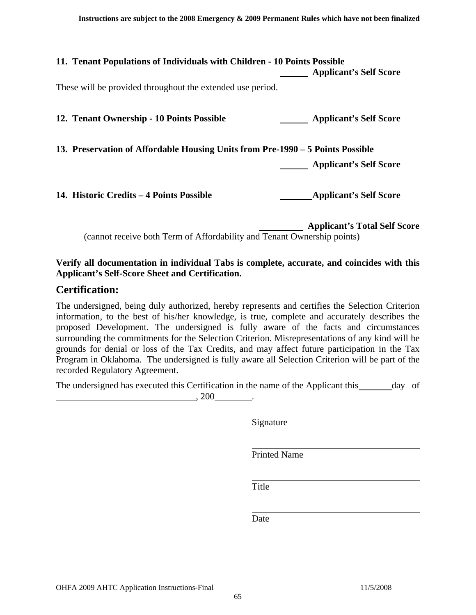| 11. Tenant Populations of Individuals with Children - 10 Points Possible       | <b>Applicant's Self Score</b> |
|--------------------------------------------------------------------------------|-------------------------------|
| These will be provided throughout the extended use period.                     |                               |
| 12. Tenant Ownership - 10 Points Possible                                      | <b>Applicant's Self Score</b> |
| 13. Preservation of Affordable Housing Units from Pre-1990 – 5 Points Possible |                               |
|                                                                                | <b>Applicant's Self Score</b> |
| 14. Historic Credits – 4 Points Possible                                       | <b>Applicant's Self Score</b> |

 **Applicant's Total Self Score** (cannot receive both Term of Affordability and Tenant Ownership points)

#### **Verify all documentation in individual Tabs is complete, accurate, and coincides with this Applicant's Self-Score Sheet and Certification.**

#### **Certification:**

The undersigned, being duly authorized, hereby represents and certifies the Selection Criterion information, to the best of his/her knowledge, is true, complete and accurately describes the proposed Development. The undersigned is fully aware of the facts and circumstances surrounding the commitments for the Selection Criterion. Misrepresentations of any kind will be grounds for denial or loss of the Tax Credits, and may affect future participation in the Tax Program in Oklahoma. The undersigned is fully aware all Selection Criterion will be part of the recorded Regulatory Agreement.

The undersigned has executed this Certification in the name of the Applicant this day of , 200 .

Signature

Printed Name

**Title** 

Date **Date**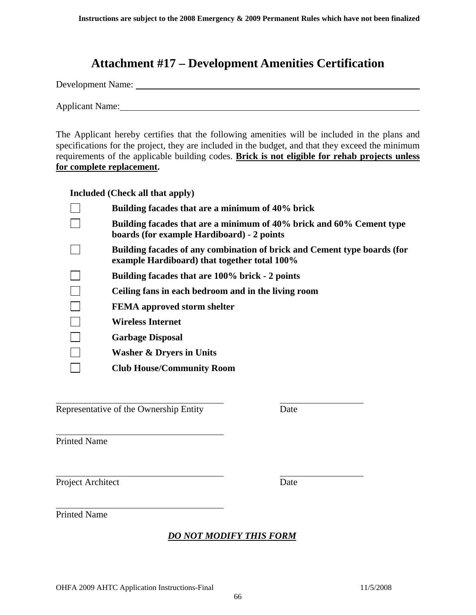## **Attachment #17 – Development Amenities Certification**

<span id="page-65-0"></span>Development Name:

Applicant Name:

The Applicant hereby certifies that the following amenities will be included in the plans and specifications for the project, they are included in the budget, and that they exceed the minimum requirements of the applicable building codes. **Brick is not eligible for rehab projects unless for complete replacement.**

**Included (Check all that apply)** 

| Building facades that are a minimum of 40% brick                                                                         |
|--------------------------------------------------------------------------------------------------------------------------|
| Building facades that are a minimum of 40% brick and 60% Cement type<br>boards (for example Hardiboard) - 2 points       |
| Building facades of any combination of brick and Cement type boards (for<br>example Hardiboard) that together total 100% |
| Building facades that are 100% brick - 2 points                                                                          |
| Ceiling fans in each bedroom and in the living room                                                                      |
| <b>FEMA</b> approved storm shelter                                                                                       |
| <b>Wireless Internet</b>                                                                                                 |
| <b>Garbage Disposal</b>                                                                                                  |
| <b>Washer &amp; Dryers in Units</b>                                                                                      |
| <b>Club House/Community Room</b>                                                                                         |

Representative of the Ownership Entity Date

Printed Name

 $\overline{a}$ 

 $\overline{a}$ 

l

 $\overline{a}$ 

Project Architect Date

Printed Name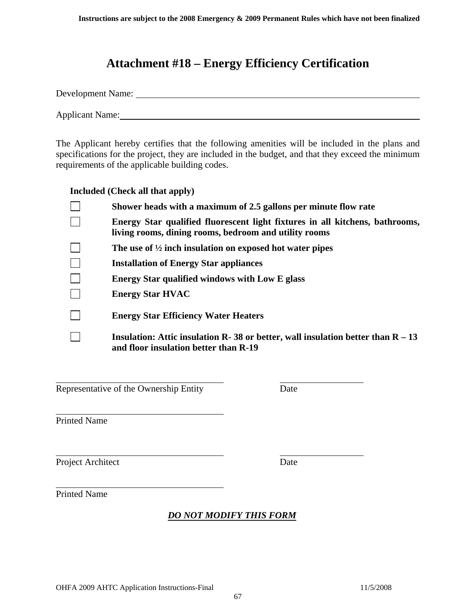## **Attachment #18 – Energy Efficiency Certification**

<span id="page-66-0"></span>

| Development Name: |  |  |  |  |
|-------------------|--|--|--|--|
|                   |  |  |  |  |
| Applicant Name:   |  |  |  |  |

The Applicant hereby certifies that the following amenities will be included in the plans and specifications for the project, they are included in the budget, and that they exceed the minimum requirements of the applicable building codes.

**Included (Check all that apply)** 

| Shower heads with a maximum of 2.5 gallons per minute flow rate                                                                       |
|---------------------------------------------------------------------------------------------------------------------------------------|
| Energy Star qualified fluorescent light fixtures in all kitchens, bathrooms,<br>living rooms, dining rooms, bedroom and utility rooms |
| The use of $\frac{1}{2}$ inch insulation on exposed hot water pipes                                                                   |
| <b>Installation of Energy Star appliances</b>                                                                                         |
| Energy Star qualified windows with Low E glass                                                                                        |
| <b>Energy Star HVAC</b>                                                                                                               |
| <b>Energy Star Efficiency Water Heaters</b>                                                                                           |
| Insulation: Attic insulation R- 38 or better, wall insulation better than $R - 13$<br>and floor insulation better than R-19           |

Representative of the Ownership Entity Date

Printed Name

 $\overline{a}$ 

 $\overline{a}$ 

l

 $\overline{a}$ 

Project Architect Date

Printed Name